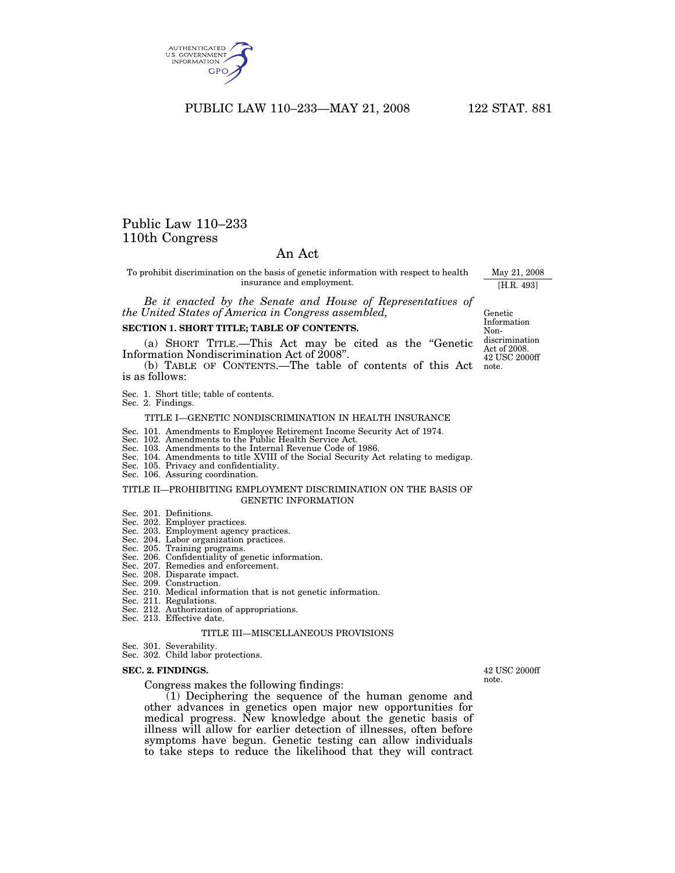

# Public Law 110–233 110th Congress

# An Act

To prohibit discrimination on the basis of genetic information with respect to health insurance and employment.

*Be it enacted by the Senate and House of Representatives of the United States of America in Congress assembled,* 

#### **SECTION 1. SHORT TITLE; TABLE OF CONTENTS.**

(a) SHORT TITLE.—This Act may be cited as the ''Genetic Information Nondiscrimination Act of 2008''.

(b) TABLE OF CONTENTS.—The table of contents of this Act is as follows:

Sec. 1. Short title; table of contents. Sec. 2. Findings.

#### TITLE I—GENETIC NONDISCRIMINATION IN HEALTH INSURANCE

Sec. 101. Amendments to Employee Retirement Income Security Act of 1974.

- Sec. 102. Amendments to the Public Health Service Act.
- Sec. 103. Amendments to the Internal Revenue Code of 1986.
- Sec. 104. Amendments to title XVIII of the Social Security Act relating to medigap. Sec. 105. Privacy and confidentiality.
- 
- Sec. 106. Assuring coordination.

#### TITLE II—PROHIBITING EMPLOYMENT DISCRIMINATION ON THE BASIS OF GENETIC INFORMATION

- 
- Sec. 201. Definitions. Sec. 202. Employer practices.
- Sec. 203. Employment agency practices. Sec. 204. Labor organization practices.
- 
- Sec. 205. Training programs. Sec. 206. Confidentiality of genetic information.
- 
- Sec. 207. Remedies and enforcement.
- Sec. 208. Disparate impact. Sec. 209. Construction.
- Sec. 210. Medical information that is not genetic information.
- Sec. 211. Regulations.
- Sec. 212. Authorization of appropriations. Sec. 213. Effective date.
	- TITLE III—MISCELLANEOUS PROVISIONS

Sec. 301. Severability. Sec. 302. Child labor protections.

#### **SEC. 2. FINDINGS.**

Congress makes the following findings:

 $(1)$  Deciphering the sequence of the human genome and other advances in genetics open major new opportunities for medical progress. New knowledge about the genetic basis of illness will allow for earlier detection of illnesses, often before symptoms have begun. Genetic testing can allow individuals to take steps to reduce the likelihood that they will contract

42 USC 2000ff note.

Genetic Information Nondiscrimination Act of 2008. 42 USC 2000ff note.

May 21, 2008 [H.R. 493]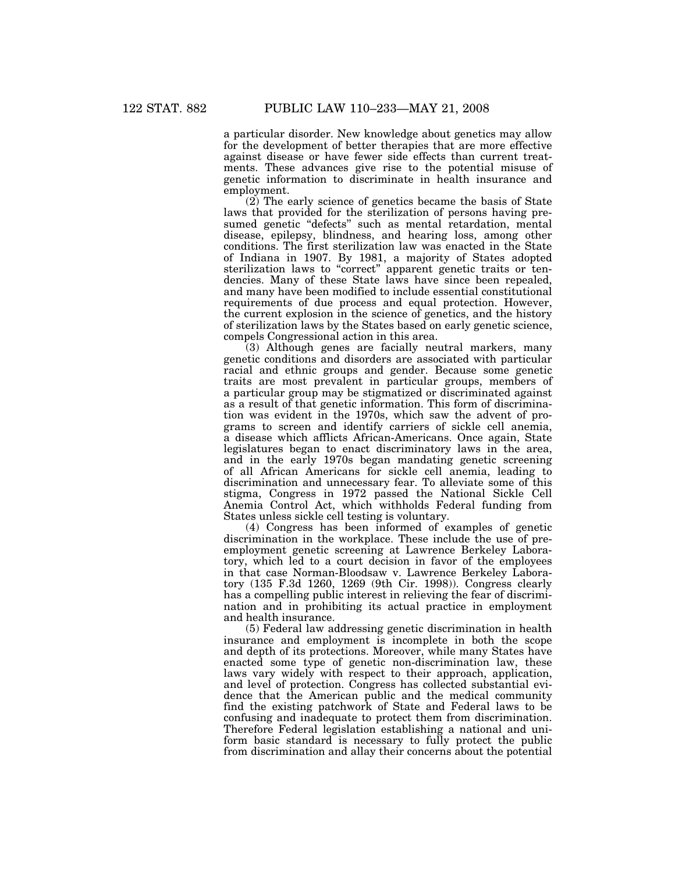a particular disorder. New knowledge about genetics may allow for the development of better therapies that are more effective against disease or have fewer side effects than current treatments. These advances give rise to the potential misuse of genetic information to discriminate in health insurance and employment.

(2) The early science of genetics became the basis of State laws that provided for the sterilization of persons having presumed genetic "defects" such as mental retardation, mental disease, epilepsy, blindness, and hearing loss, among other conditions. The first sterilization law was enacted in the State of Indiana in 1907. By 1981, a majority of States adopted sterilization laws to "correct" apparent genetic traits or tendencies. Many of these State laws have since been repealed, and many have been modified to include essential constitutional requirements of due process and equal protection. However, the current explosion in the science of genetics, and the history of sterilization laws by the States based on early genetic science, compels Congressional action in this area.

(3) Although genes are facially neutral markers, many genetic conditions and disorders are associated with particular racial and ethnic groups and gender. Because some genetic traits are most prevalent in particular groups, members of a particular group may be stigmatized or discriminated against as a result of that genetic information. This form of discrimination was evident in the 1970s, which saw the advent of programs to screen and identify carriers of sickle cell anemia, a disease which afflicts African-Americans. Once again, State legislatures began to enact discriminatory laws in the area, and in the early 1970s began mandating genetic screening of all African Americans for sickle cell anemia, leading to discrimination and unnecessary fear. To alleviate some of this stigma, Congress in 1972 passed the National Sickle Cell Anemia Control Act, which withholds Federal funding from States unless sickle cell testing is voluntary.

(4) Congress has been informed of examples of genetic discrimination in the workplace. These include the use of preemployment genetic screening at Lawrence Berkeley Laboratory, which led to a court decision in favor of the employees in that case Norman-Bloodsaw v. Lawrence Berkeley Laboratory (135 F.3d 1260, 1269 (9th Cir. 1998)). Congress clearly has a compelling public interest in relieving the fear of discrimination and in prohibiting its actual practice in employment and health insurance.

(5) Federal law addressing genetic discrimination in health insurance and employment is incomplete in both the scope and depth of its protections. Moreover, while many States have enacted some type of genetic non-discrimination law, these laws vary widely with respect to their approach, application, and level of protection. Congress has collected substantial evidence that the American public and the medical community find the existing patchwork of State and Federal laws to be confusing and inadequate to protect them from discrimination. Therefore Federal legislation establishing a national and uniform basic standard is necessary to fully protect the public from discrimination and allay their concerns about the potential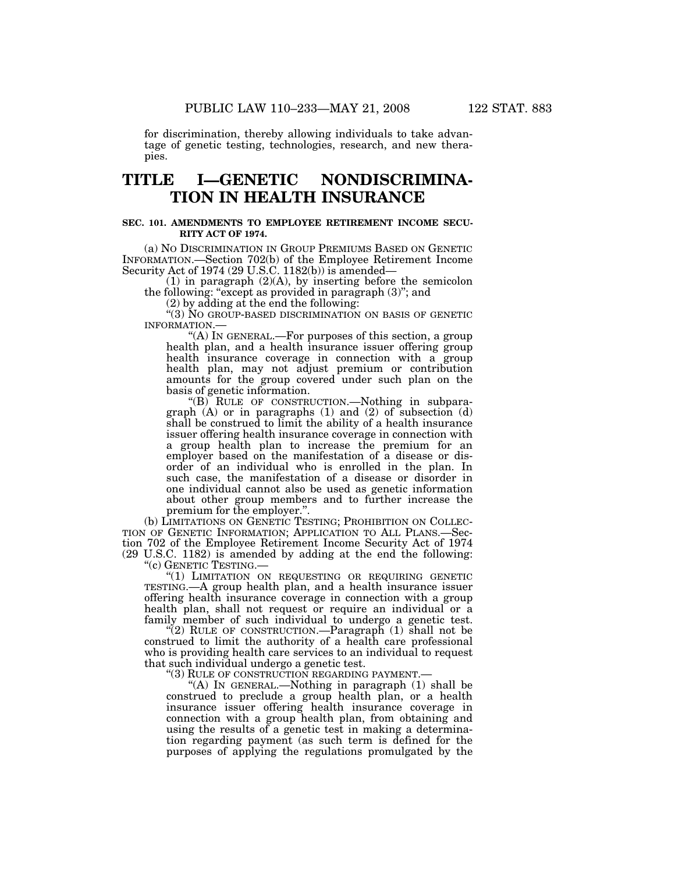for discrimination, thereby allowing individuals to take advantage of genetic testing, technologies, research, and new therapies.

# **TITLE I—GENETIC NONDISCRIMINA-TION IN HEALTH INSURANCE**

#### **SEC. 101. AMENDMENTS TO EMPLOYEE RETIREMENT INCOME SECU-RITY ACT OF 1974.**

(a) NO DISCRIMINATION IN GROUP PREMIUMS BASED ON GENETIC INFORMATION.—Section 702(b) of the Employee Retirement Income Security Act of 1974 (29 U.S.C. 1182(b)) is amended—

 $(1)$  in paragraph  $(2)(A)$ , by inserting before the semicolon the following: "except as provided in paragraph (3)"; and

(2) by adding at the end the following:

''(3) NO GROUP-BASED DISCRIMINATION ON BASIS OF GENETIC

INFORMATION.—<br>"(A) IN GENERAL.—For purposes of this section, a group health plan, and a health insurance issuer offering group health insurance coverage in connection with a group health plan, may not adjust premium or contribution amounts for the group covered under such plan on the basis of genetic information.

''(B) RULE OF CONSTRUCTION.—Nothing in subparagraph  $(A)$  or in paragraphs  $(1)$  and  $(2)$  of subsection  $(d)$ shall be construed to limit the ability of a health insurance issuer offering health insurance coverage in connection with a group health plan to increase the premium for an employer based on the manifestation of a disease or disorder of an individual who is enrolled in the plan. In such case, the manifestation of a disease or disorder in one individual cannot also be used as genetic information about other group members and to further increase the premium for the employer.''.

(b) LIMITATIONS ON GENETIC TESTING; PROHIBITION ON COLLEC- TION OF GENETIC INFORMATION; APPLICATION TO ALL PLANS.—Section 702 of the Employee Retirement Income Security Act of 1974 (29 U.S.C. 1182) is amended by adding at the end the following:

"(1) LIMITATION ON REQUESTING OR REQUIRING GENETIC TESTING.—A group health plan, and a health insurance issuer offering health insurance coverage in connection with a group health plan, shall not request or require an individual or a family member of such individual to undergo a genetic test.

"(2) RULE OF CONSTRUCTION.—Paragraph  $(1)$  shall not be construed to limit the authority of a health care professional who is providing health care services to an individual to request that such individual undergo a genetic test.

''(3) RULE OF CONSTRUCTION REGARDING PAYMENT.—

"(A) IN GENERAL.—Nothing in paragraph (1) shall be construed to preclude a group health plan, or a health insurance issuer offering health insurance coverage in connection with a group health plan, from obtaining and using the results of a genetic test in making a determination regarding payment (as such term is defined for the purposes of applying the regulations promulgated by the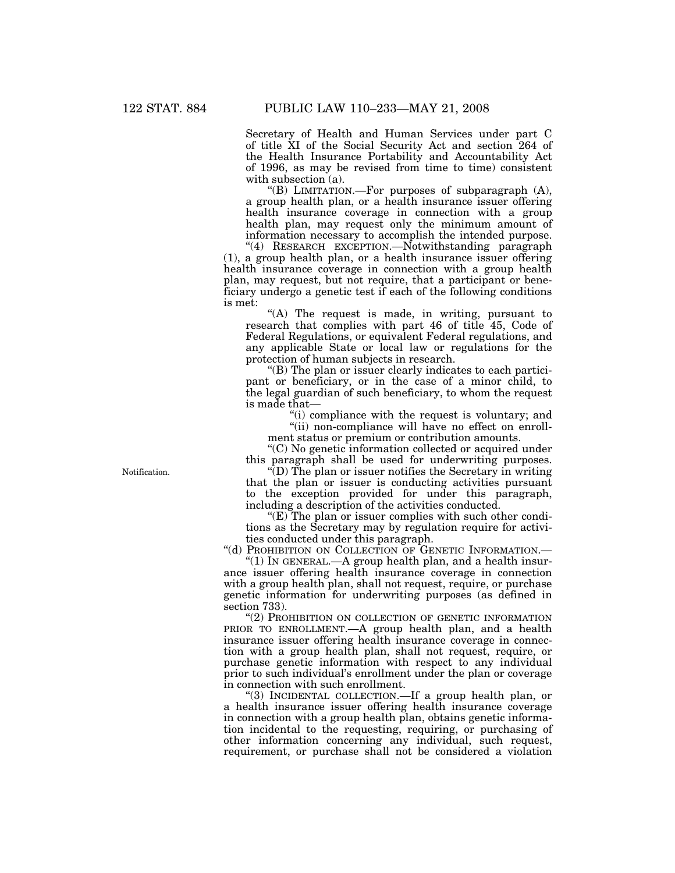Secretary of Health and Human Services under part C of title XI of the Social Security Act and section 264 of the Health Insurance Portability and Accountability Act of 1996, as may be revised from time to time) consistent with subsection (a).

"(B) LIMITATION.—For purposes of subparagraph (A), a group health plan, or a health insurance issuer offering health insurance coverage in connection with a group health plan, may request only the minimum amount of information necessary to accomplish the intended purpose.

''(4) RESEARCH EXCEPTION.—Notwithstanding paragraph (1), a group health plan, or a health insurance issuer offering health insurance coverage in connection with a group health plan, may request, but not require, that a participant or beneficiary undergo a genetic test if each of the following conditions is met:

"(A) The request is made, in writing, pursuant to research that complies with part 46 of title 45, Code of Federal Regulations, or equivalent Federal regulations, and any applicable State or local law or regulations for the protection of human subjects in research.

''(B) The plan or issuer clearly indicates to each participant or beneficiary, or in the case of a minor child, to the legal guardian of such beneficiary, to whom the request is made that—

> ''(i) compliance with the request is voluntary; and "(ii) non-compliance will have no effect on enroll-

ment status or premium or contribution amounts.

''(C) No genetic information collected or acquired under this paragraph shall be used for underwriting purposes.

''(D) The plan or issuer notifies the Secretary in writing that the plan or issuer is conducting activities pursuant to the exception provided for under this paragraph, including a description of the activities conducted.

" $(E)$  The plan or issuer complies with such other conditions as the Secretary may by regulation require for activities conducted under this paragraph.

''(d) PROHIBITION ON COLLECTION OF GENETIC INFORMATION.—

"(1) IN GENERAL.—A group health plan, and a health insurance issuer offering health insurance coverage in connection with a group health plan, shall not request, require, or purchase genetic information for underwriting purposes (as defined in section 733).

"(2) PROHIBITION ON COLLECTION OF GENETIC INFORMATION PRIOR TO ENROLLMENT.—A group health plan, and a health insurance issuer offering health insurance coverage in connection with a group health plan, shall not request, require, or purchase genetic information with respect to any individual prior to such individual's enrollment under the plan or coverage in connection with such enrollment.

''(3) INCIDENTAL COLLECTION.—If a group health plan, or a health insurance issuer offering health insurance coverage in connection with a group health plan, obtains genetic information incidental to the requesting, requiring, or purchasing of other information concerning any individual, such request, requirement, or purchase shall not be considered a violation

Notification.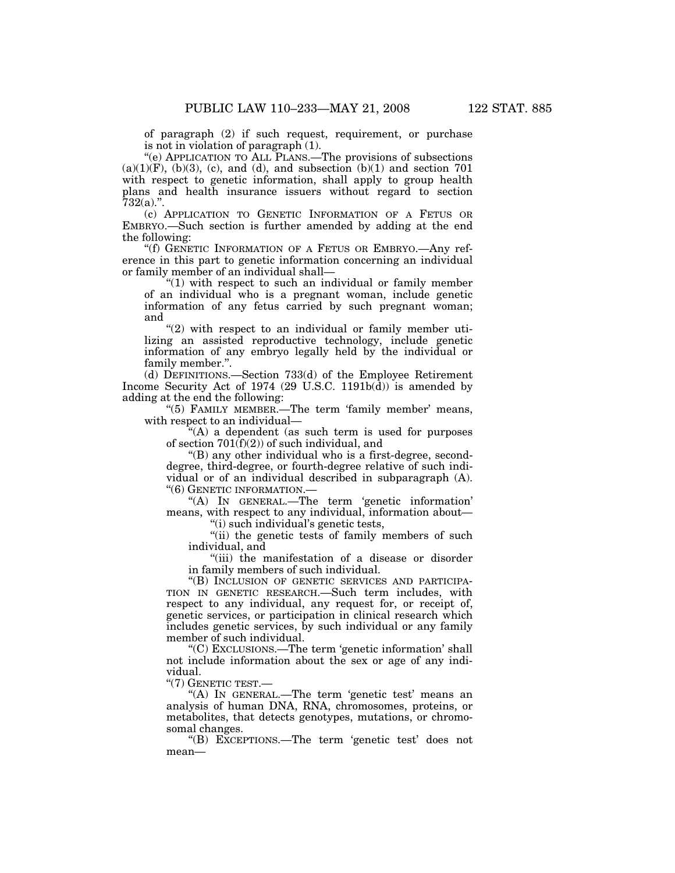of paragraph (2) if such request, requirement, or purchase is not in violation of paragraph (1).

''(e) APPLICATION TO ALL PLANS.—The provisions of subsections  $(a)(1)(F)$ ,  $(b)(3)$ ,  $(c)$ , and  $(d)$ , and subsection  $(b)(1)$  and section 701 with respect to genetic information, shall apply to group health plans and health insurance issuers without regard to section  $732(a)$ .".

(c) APPLICATION TO GENETIC INFORMATION OF A FETUS OR EMBRYO.—Such section is further amended by adding at the end the following:

''(f) GENETIC INFORMATION OF A FETUS OR EMBRYO.—Any reference in this part to genetic information concerning an individual or family member of an individual shall—

" $(1)$  with respect to such an individual or family member of an individual who is a pregnant woman, include genetic information of any fetus carried by such pregnant woman; and

" $(2)$  with respect to an individual or family member utilizing an assisted reproductive technology, include genetic information of any embryo legally held by the individual or family member.''.

(d) DEFINITIONS.—Section 733(d) of the Employee Retirement Income Security Act of 1974 (29 U.S.C. 1191b(d)) is amended by adding at the end the following:

"(5) FAMILY MEMBER.—The term 'family member' means, with respect to an individual—

''(A) a dependent (as such term is used for purposes of section  $701(f)(2)$  of such individual, and

''(B) any other individual who is a first-degree, seconddegree, third-degree, or fourth-degree relative of such individual or of an individual described in subparagraph (A). ''(6) GENETIC INFORMATION.—

''(A) IN GENERAL.—The term 'genetic information' means, with respect to any individual, information about— ''(i) such individual's genetic tests,

"(ii) the genetic tests of family members of such individual, and

''(iii) the manifestation of a disease or disorder in family members of such individual.

"(B) INCLUSION OF GENETIC SERVICES AND PARTICIPA-TION IN GENETIC RESEARCH.—Such term includes, with respect to any individual, any request for, or receipt of, genetic services, or participation in clinical research which includes genetic services, by such individual or any family member of such individual.

''(C) EXCLUSIONS.—The term 'genetic information' shall not include information about the sex or age of any individual.

''(7) GENETIC TEST.—

"(A) In GENERAL.—The term 'genetic test' means an analysis of human DNA, RNA, chromosomes, proteins, or metabolites, that detects genotypes, mutations, or chromosomal changes.

''(B) EXCEPTIONS.—The term 'genetic test' does not mean—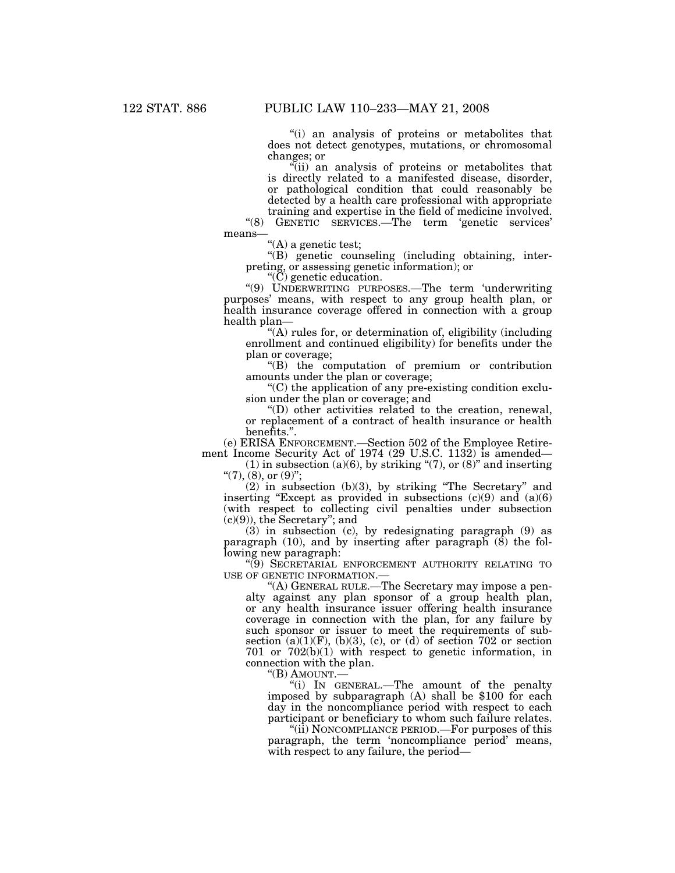''(i) an analysis of proteins or metabolites that does not detect genotypes, mutations, or chromosomal changes; or

''(ii) an analysis of proteins or metabolites that is directly related to a manifested disease, disorder, or pathological condition that could reasonably be detected by a health care professional with appropriate training and expertise in the field of medicine involved.

''(8) GENETIC SERVICES.—The term 'genetic services' means—

 $\lq\lq (A)$  a genetic test;

''(B) genetic counseling (including obtaining, interpreting, or assessing genetic information); or

''(C) genetic education.

''(9) UNDERWRITING PURPOSES.—The term 'underwriting purposes' means, with respect to any group health plan, or health insurance coverage offered in connection with a group health plan—

''(A) rules for, or determination of, eligibility (including enrollment and continued eligibility) for benefits under the plan or coverage;

''(B) the computation of premium or contribution amounts under the plan or coverage;

''(C) the application of any pre-existing condition exclusion under the plan or coverage; and

''(D) other activities related to the creation, renewal, or replacement of a contract of health insurance or health benefits.''.

(e) ERISA ENFORCEMENT.—Section 502 of the Employee Retirement Income Security Act of 1974 (29 U.S.C. 1132) is amended—

(1) in subsection (a)(6), by striking " $(7)$ , or  $(8)$ " and inserting "(7), (8), or  $(9)$ ";

 $(2)$  in subsection  $(b)(3)$ , by striking "The Secretary" and inserting "Except as provided in subsections  $(c)(9)$  and  $(a)(6)$ (with respect to collecting civil penalties under subsection  $(c)(9)$ , the Secretary"; and

(3) in subsection (c), by redesignating paragraph (9) as paragraph  $(10)$ , and by inserting after paragraph  $(8)$  the following new paragraph:

''(9) SECRETARIAL ENFORCEMENT AUTHORITY RELATING TO USE OF GENETIC INFORMATION.—

''(A) GENERAL RULE.—The Secretary may impose a penalty against any plan sponsor of a group health plan, or any health insurance issuer offering health insurance coverage in connection with the plan, for any failure by such sponsor or issuer to meet the requirements of subsection  $(a)(1)(F)$ ,  $(b)(3)$ ,  $(c)$ , or  $(d)$  of section 702 or section 701 or 702(b)(1) with respect to genetic information, in connection with the plan.

"(B) AMOUNT.—<br>"(i) IN GENERAL.—The amount of the penalty imposed by subparagraph  $(A)$  shall be \$100 for each day in the noncompliance period with respect to each participant or beneficiary to whom such failure relates.

"(ii) NONCOMPLIANCE PERIOD.—For purposes of this paragraph, the term 'noncompliance period' means, with respect to any failure, the period—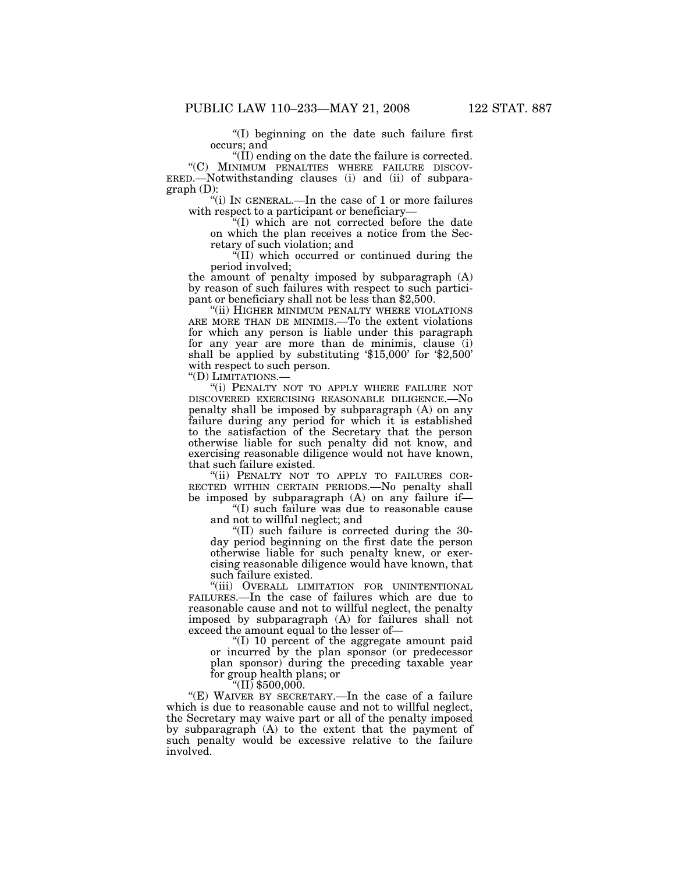''(I) beginning on the date such failure first occurs; and

"(II) ending on the date the failure is corrected.<br>"(C) MINIMUM PENALTIES WHERE FAILURE DISCOV-ERED.—Notwithstanding clauses (i) and (ii) of subparagraph (D):

''(i) IN GENERAL.—In the case of 1 or more failures with respect to a participant or beneficiary—

''(I) which are not corrected before the date on which the plan receives a notice from the Secretary of such violation; and

''(II) which occurred or continued during the period involved;

the amount of penalty imposed by subparagraph (A) by reason of such failures with respect to such participant or beneficiary shall not be less than \$2,500.

''(ii) HIGHER MINIMUM PENALTY WHERE VIOLATIONS ARE MORE THAN DE MINIMIS.—To the extent violations for which any person is liable under this paragraph for any year are more than de minimis, clause (i) shall be applied by substituting '\$15,000' for '\$2,500' with respect to such person.

"(D) LIMITATIONS .-

"(i) PENALTY NOT TO APPLY WHERE FAILURE NOT DISCOVERED EXERCISING REASONABLE DILIGENCE.—No penalty shall be imposed by subparagraph (A) on any failure during any period for which it is established to the satisfaction of the Secretary that the person otherwise liable for such penalty did not know, and exercising reasonable diligence would not have known, that such failure existed.

"(ii) PENALTY NOT TO APPLY TO FAILURES COR-RECTED WITHIN CERTAIN PERIODS.—No penalty shall be imposed by subparagraph (A) on any failure if—

''(I) such failure was due to reasonable cause and not to willful neglect; and

''(II) such failure is corrected during the 30 day period beginning on the first date the person otherwise liable for such penalty knew, or exercising reasonable diligence would have known, that such failure existed.

''(iii) OVERALL LIMITATION FOR UNINTENTIONAL FAILURES.—In the case of failures which are due to reasonable cause and not to willful neglect, the penalty imposed by subparagraph (A) for failures shall not exceed the amount equal to the lesser of—

''(I) 10 percent of the aggregate amount paid or incurred by the plan sponsor (or predecessor plan sponsor) during the preceding taxable year for group health plans; or

 $"$ (II) \$500,000.

"(E) WAIVER BY SECRETARY.—In the case of a failure which is due to reasonable cause and not to willful neglect, the Secretary may waive part or all of the penalty imposed by subparagraph (A) to the extent that the payment of such penalty would be excessive relative to the failure involved.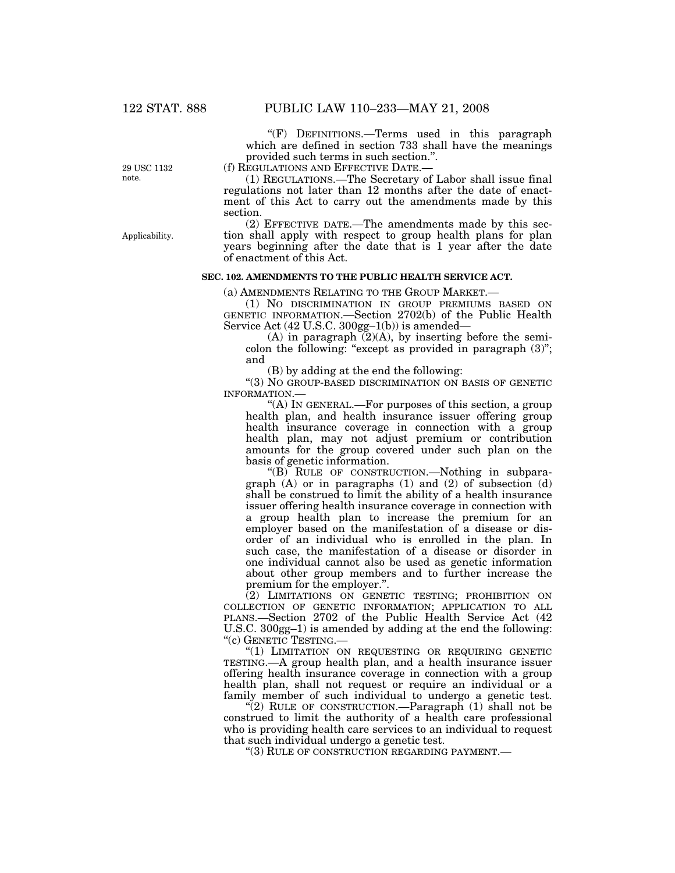''(F) DEFINITIONS.—Terms used in this paragraph which are defined in section 733 shall have the meanings provided such terms in such section.''.

(f) REGULATIONS AND EFFECTIVE DATE.—

(1) REGULATIONS.—The Secretary of Labor shall issue final regulations not later than 12 months after the date of enactment of this Act to carry out the amendments made by this section.

(2) EFFECTIVE DATE.—The amendments made by this section shall apply with respect to group health plans for plan years beginning after the date that is 1 year after the date of enactment of this Act.

# **SEC. 102. AMENDMENTS TO THE PUBLIC HEALTH SERVICE ACT.**

(a) AMENDMENTS RELATING TO THE GROUP MARKET.—

(1) NO DISCRIMINATION IN GROUP PREMIUMS BASED ON GENETIC INFORMATION.—Section 2702(b) of the Public Health Service Act (42 U.S.C. 300gg–1(b)) is amended—

(A) in paragraph  $(2)(A)$ , by inserting before the semicolon the following: "except as provided in paragraph  $(3)$ "; and

(B) by adding at the end the following:

''(3) NO GROUP-BASED DISCRIMINATION ON BASIS OF GENETIC INFORMATION.—

''(A) IN GENERAL.—For purposes of this section, a group health plan, and health insurance issuer offering group health insurance coverage in connection with a group health plan, may not adjust premium or contribution amounts for the group covered under such plan on the basis of genetic information.

''(B) RULE OF CONSTRUCTION.—Nothing in subparagraph (A) or in paragraphs (1) and (2) of subsection (d) shall be construed to limit the ability of a health insurance issuer offering health insurance coverage in connection with a group health plan to increase the premium for an employer based on the manifestation of a disease or disorder of an individual who is enrolled in the plan. In such case, the manifestation of a disease or disorder in one individual cannot also be used as genetic information about other group members and to further increase the premium for the employer.''.

(2) LIMITATIONS ON GENETIC TESTING; PROHIBITION ON COLLECTION OF GENETIC INFORMATION; APPLICATION TO ALL PLANS.—Section 2702 of the Public Health Service Act (42 U.S.C. 300gg–1) is amended by adding at the end the following: ''(c) GENETIC TESTING.—

''(1) LIMITATION ON REQUESTING OR REQUIRING GENETIC TESTING.—A group health plan, and a health insurance issuer offering health insurance coverage in connection with a group health plan, shall not request or require an individual or a family member of such individual to undergo a genetic test.

 $\sqrt{\gamma(2)}$  RULE OF CONSTRUCTION.—Paragraph (1) shall not be construed to limit the authority of a health care professional who is providing health care services to an individual to request that such individual undergo a genetic test.

''(3) RULE OF CONSTRUCTION REGARDING PAYMENT.—

29 USC 1132 note.

Applicability.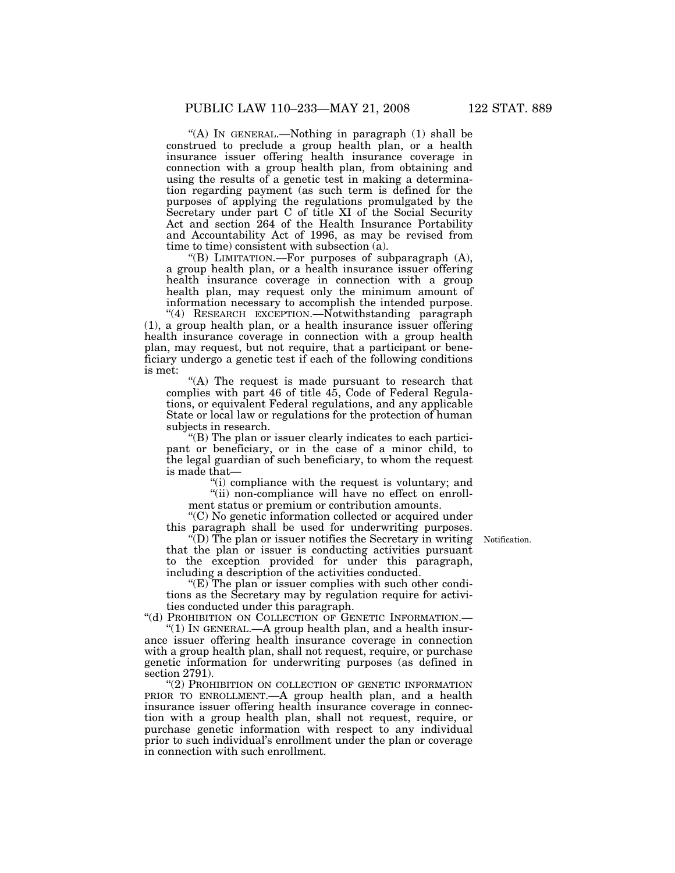''(A) IN GENERAL.—Nothing in paragraph (1) shall be construed to preclude a group health plan, or a health insurance issuer offering health insurance coverage in connection with a group health plan, from obtaining and using the results of a genetic test in making a determination regarding payment (as such term is defined for the purposes of applying the regulations promulgated by the Secretary under part C of title XI of the Social Security Act and section 264 of the Health Insurance Portability and Accountability Act of 1996, as may be revised from time to time) consistent with subsection (a).

"(B) LIMITATION.—For purposes of subparagraph  $(A)$ , a group health plan, or a health insurance issuer offering health insurance coverage in connection with a group health plan, may request only the minimum amount of information necessary to accomplish the intended purpose.

"(4) RESEARCH EXCEPTION.-Notwithstanding paragraph (1), a group health plan, or a health insurance issuer offering health insurance coverage in connection with a group health plan, may request, but not require, that a participant or beneficiary undergo a genetic test if each of the following conditions is met:

"(A) The request is made pursuant to research that complies with part 46 of title 45, Code of Federal Regulations, or equivalent Federal regulations, and any applicable State or local law or regulations for the protection of human subjects in research.

''(B) The plan or issuer clearly indicates to each participant or beneficiary, or in the case of a minor child, to the legal guardian of such beneficiary, to whom the request is made that—

> $\hat{f}(i)$  compliance with the request is voluntary; and "(ii) non-compliance will have no effect on enroll-

ment status or premium or contribution amounts. ''(C) No genetic information collected or acquired under

this paragraph shall be used for underwriting purposes. ''(D) The plan or issuer notifies the Secretary in writing Notification. that the plan or issuer is conducting activities pursuant to the exception provided for under this paragraph, including a description of the activities conducted.

 $E(E)$  The plan or issuer complies with such other conditions as the Secretary may by regulation require for activities conducted under this paragraph.

"(d) PROHIBITION ON COLLECTION OF GENETIC INFORMATION.-

''(1) IN GENERAL.—A group health plan, and a health insurance issuer offering health insurance coverage in connection with a group health plan, shall not request, require, or purchase genetic information for underwriting purposes (as defined in section 2791).

"(2) PROHIBITION ON COLLECTION OF GENETIC INFORMATION PRIOR TO ENROLLMENT.—A group health plan, and a health insurance issuer offering health insurance coverage in connection with a group health plan, shall not request, require, or purchase genetic information with respect to any individual prior to such individual's enrollment under the plan or coverage in connection with such enrollment.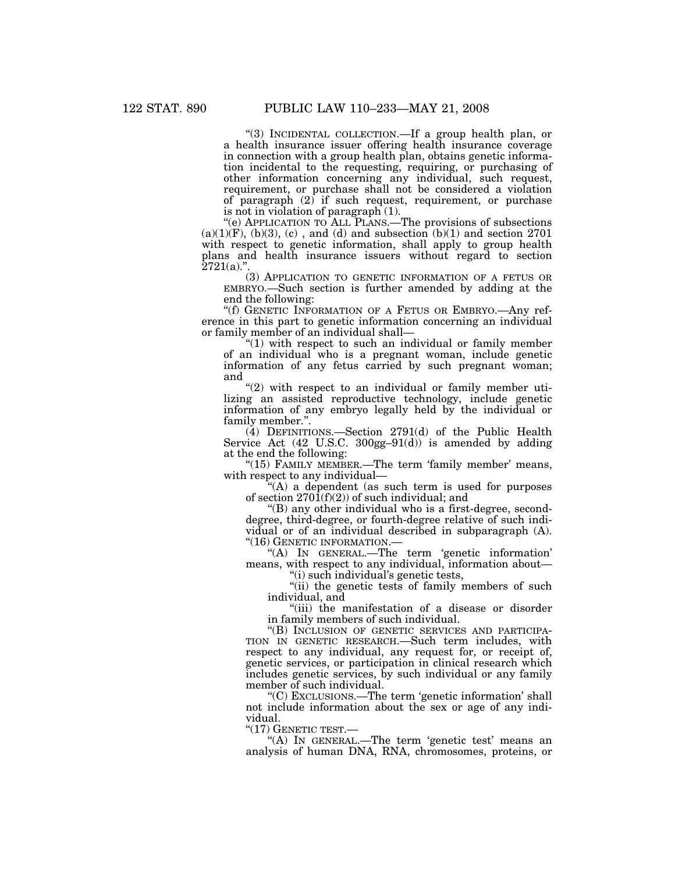''(3) INCIDENTAL COLLECTION.—If a group health plan, or a health insurance issuer offering health insurance coverage in connection with a group health plan, obtains genetic information incidental to the requesting, requiring, or purchasing of other information concerning any individual, such request, requirement, or purchase shall not be considered a violation of paragraph (2) if such request, requirement, or purchase is not in violation of paragraph (1).

''(e) APPLICATION TO ALL PLANS.—The provisions of subsections  $(a)(1)(F)$ ,  $(b)(3)$ ,  $(c)$ , and  $(d)$  and subsection  $(b)(1)$  and section 2701 with respect to genetic information, shall apply to group health plans and health insurance issuers without regard to section  $2721(a)$ .".

(3) APPLICATION TO GENETIC INFORMATION OF A FETUS OR EMBRYO.—Such section is further amended by adding at the end the following:

''(f) GENETIC INFORMATION OF A FETUS OR EMBRYO.—Any reference in this part to genetic information concerning an individual or family member of an individual shall—

" $(1)$  with respect to such an individual or family member of an individual who is a pregnant woman, include genetic information of any fetus carried by such pregnant woman; and

" $(2)$  with respect to an individual or family member utilizing an assisted reproductive technology, include genetic information of any embryo legally held by the individual or family member.''.

(4) DEFINITIONS.—Section 2791(d) of the Public Health Service Act (42 U.S.C. 300gg–91(d)) is amended by adding at the end the following:

"(15) FAMILY MEMBER.—The term 'family member' means, with respect to any individual—

''(A) a dependent (as such term is used for purposes of section  $270\overline{1}(f)(2)$  of such individual; and

 $\mathrm{``(B)}$  any other individual who is a first-degree, seconddegree, third-degree, or fourth-degree relative of such individual or of an individual described in subparagraph (A). ''(16) GENETIC INFORMATION.—

''(A) IN GENERAL.—The term 'genetic information' means, with respect to any individual, information about— (i) such individual's genetic tests,

"(ii) the genetic tests of family members of such individual, and

''(iii) the manifestation of a disease or disorder in family members of such individual.

"(B) INCLUSION OF GENETIC SERVICES AND PARTICIPA-TION IN GENETIC RESEARCH.—Such term includes, with respect to any individual, any request for, or receipt of, genetic services, or participation in clinical research which includes genetic services, by such individual or any family member of such individual.

''(C) EXCLUSIONS.—The term 'genetic information' shall not include information about the sex or age of any individual.<br>"(17) GENETIC TEST.—

"(A) IN GENERAL.—The term 'genetic test' means an analysis of human DNA, RNA, chromosomes, proteins, or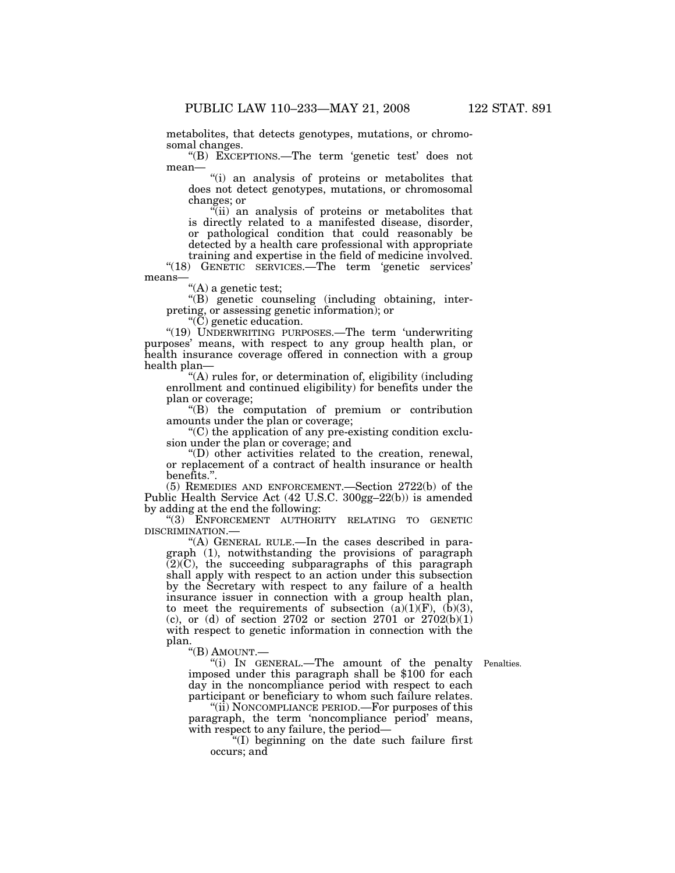metabolites, that detects genotypes, mutations, or chromosomal changes.

''(B) EXCEPTIONS.—The term 'genetic test' does not mean—

''(i) an analysis of proteins or metabolites that does not detect genotypes, mutations, or chromosomal changes; or

"(ii) an analysis of proteins or metabolites that is directly related to a manifested disease, disorder, or pathological condition that could reasonably be detected by a health care professional with appropriate training and expertise in the field of medicine involved.

"(18) GENETIC SERVICES.—The term 'genetic services' means—

''(A) a genetic test;

''(B) genetic counseling (including obtaining, interpreting, or assessing genetic information); or

 $\mathcal{C}(\check{C})$  genetic education.

"(19) UNDERWRITING PURPOSES.—The term 'underwriting purposes' means, with respect to any group health plan, or health insurance coverage offered in connection with a group health plan—

''(A) rules for, or determination of, eligibility (including enrollment and continued eligibility) for benefits under the plan or coverage;

''(B) the computation of premium or contribution amounts under the plan or coverage;

''(C) the application of any pre-existing condition exclusion under the plan or coverage; and

''(D) other activities related to the creation, renewal, or replacement of a contract of health insurance or health benefits.''.

(5) REMEDIES AND ENFORCEMENT.—Section 2722(b) of the Public Health Service Act (42 U.S.C. 300gg–22(b)) is amended by adding at the end the following:

''(3) ENFORCEMENT AUTHORITY RELATING TO GENETIC DISCRIMINATION.—

''(A) GENERAL RULE.—In the cases described in paragraph (1), notwithstanding the provisions of paragraph  $(2)(C)$ , the succeeding subparagraphs of this paragraph shall apply with respect to an action under this subsection by the Secretary with respect to any failure of a health insurance issuer in connection with a group health plan, to meet the requirements of subsection  $(a)(1)(F)$ ,  $(b)(3)$ , (c), or (d) of section 2702 or section 2701 or  $2702(b)(1)$ with respect to genetic information in connection with the plan.

''(B) AMOUNT.—

Penalties.

''(i) IN GENERAL.—The amount of the penalty imposed under this paragraph shall be \$100 for each day in the noncompliance period with respect to each participant or beneficiary to whom such failure relates.

''(ii) NONCOMPLIANCE PERIOD.—For purposes of this paragraph, the term 'noncompliance period' means, with respect to any failure, the period—

''(I) beginning on the date such failure first occurs; and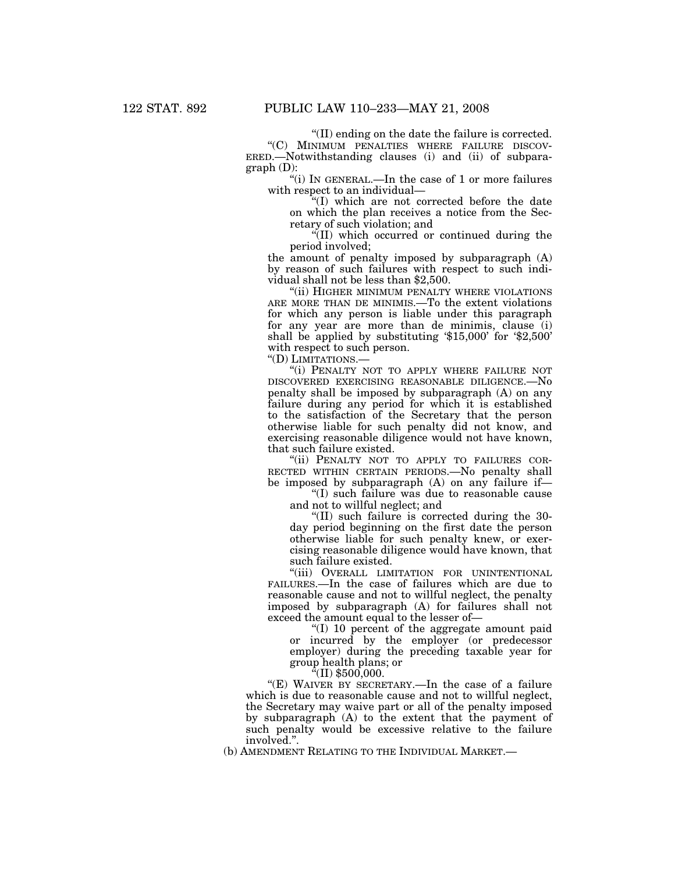''(II) ending on the date the failure is corrected.

''(C) MINIMUM PENALTIES WHERE FAILURE DISCOV-ERED.—Notwithstanding clauses (i) and (ii) of subparagraph (D):

''(i) IN GENERAL.—In the case of 1 or more failures with respect to an individual—

''(I) which are not corrected before the date on which the plan receives a notice from the Secretary of such violation; and

''(II) which occurred or continued during the period involved;

the amount of penalty imposed by subparagraph (A) by reason of such failures with respect to such individual shall not be less than \$2,500.

"(ii) HIGHER MINIMUM PENALTY WHERE VIOLATIONS ARE MORE THAN DE MINIMIS.—To the extent violations for which any person is liable under this paragraph for any year are more than de minimis, clause (i) shall be applied by substituting '\$15,000' for '\$2,500' with respect to such person.

"(D) LIMITATIONS.-

''(i) PENALTY NOT TO APPLY WHERE FAILURE NOT DISCOVERED EXERCISING REASONABLE DILIGENCE.—No penalty shall be imposed by subparagraph (A) on any failure during any period for which it is established to the satisfaction of the Secretary that the person otherwise liable for such penalty did not know, and exercising reasonable diligence would not have known, that such failure existed.

"(ii) PENALTY NOT TO APPLY TO FAILURES COR-RECTED WITHIN CERTAIN PERIODS.—No penalty shall be imposed by subparagraph (A) on any failure if—

''(I) such failure was due to reasonable cause and not to willful neglect; and

''(II) such failure is corrected during the 30 day period beginning on the first date the person otherwise liable for such penalty knew, or exercising reasonable diligence would have known, that such failure existed.

"(iii) OVERALL LIMITATION FOR UNINTENTIONAL FAILURES.—In the case of failures which are due to reasonable cause and not to willful neglect, the penalty imposed by subparagraph (A) for failures shall not exceed the amount equal to the lesser of—

''(I) 10 percent of the aggregate amount paid or incurred by the employer (or predecessor employer) during the preceding taxable year for group health plans; or

 $^{\alpha}$ (II) \$500,000.

"(E) WAIVER BY SECRETARY.—In the case of a failure which is due to reasonable cause and not to willful neglect, the Secretary may waive part or all of the penalty imposed by subparagraph (A) to the extent that the payment of such penalty would be excessive relative to the failure involved.''.

(b) AMENDMENT RELATING TO THE INDIVIDUAL MARKET.—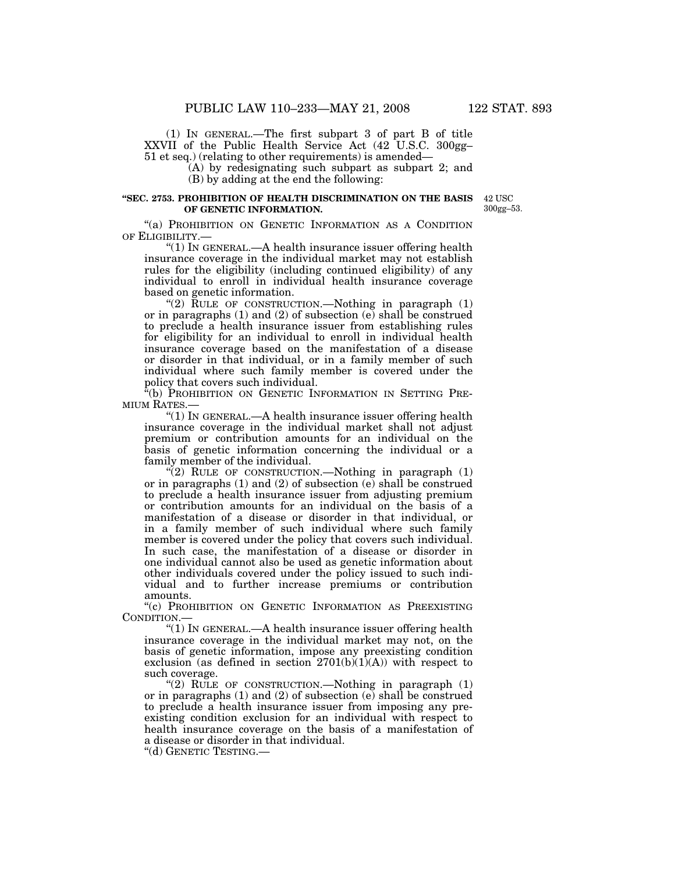(1) IN GENERAL.—The first subpart 3 of part B of title XXVII of the Public Health Service Act (42 U.S.C. 300gg– 51 et seq.) (relating to other requirements) is amended—

(A) by redesignating such subpart as subpart 2; and (B) by adding at the end the following:

# **''SEC. 2753. PROHIBITION OF HEALTH DISCRIMINATION ON THE BASIS OF GENETIC INFORMATION.**

42 USC 300gg–53.

"(a) PROHIBITION ON GENETIC INFORMATION AS A CONDITION OF ELIGIBILITY.—

" $(1)$  In GENERAL.—A health insurance issuer offering health insurance coverage in the individual market may not establish rules for the eligibility (including continued eligibility) of any individual to enroll in individual health insurance coverage based on genetic information.

" $(2)$  RULE OF CONSTRUCTION.—Nothing in paragraph  $(1)$ or in paragraphs (1) and (2) of subsection (e) shall be construed to preclude a health insurance issuer from establishing rules for eligibility for an individual to enroll in individual health insurance coverage based on the manifestation of a disease or disorder in that individual, or in a family member of such individual where such family member is covered under the policy that covers such individual.

"(b) PROHIBITION ON GENETIC INFORMATION IN SETTING PRE-MIUM RATES.

" $(1)$  In GENERAL.—A health insurance issuer offering health insurance coverage in the individual market shall not adjust premium or contribution amounts for an individual on the basis of genetic information concerning the individual or a family member of the individual.

"(2) RULE OF CONSTRUCTION.—Nothing in paragraph (1) or in paragraphs (1) and (2) of subsection (e) shall be construed to preclude a health insurance issuer from adjusting premium or contribution amounts for an individual on the basis of a manifestation of a disease or disorder in that individual, or in a family member of such individual where such family member is covered under the policy that covers such individual. In such case, the manifestation of a disease or disorder in one individual cannot also be used as genetic information about other individuals covered under the policy issued to such individual and to further increase premiums or contribution amounts.

''(c) PROHIBITION ON GENETIC INFORMATION AS PREEXISTING CONDITION.—

''(1) IN GENERAL.—A health insurance issuer offering health insurance coverage in the individual market may not, on the basis of genetic information, impose any preexisting condition exclusion (as defined in section  $2701(b)(1)(A)$ ) with respect to such coverage.

"(2) RULE OF CONSTRUCTION.—Nothing in paragraph (1) or in paragraphs (1) and (2) of subsection (e) shall be construed to preclude a health insurance issuer from imposing any preexisting condition exclusion for an individual with respect to health insurance coverage on the basis of a manifestation of a disease or disorder in that individual.

''(d) GENETIC TESTING.—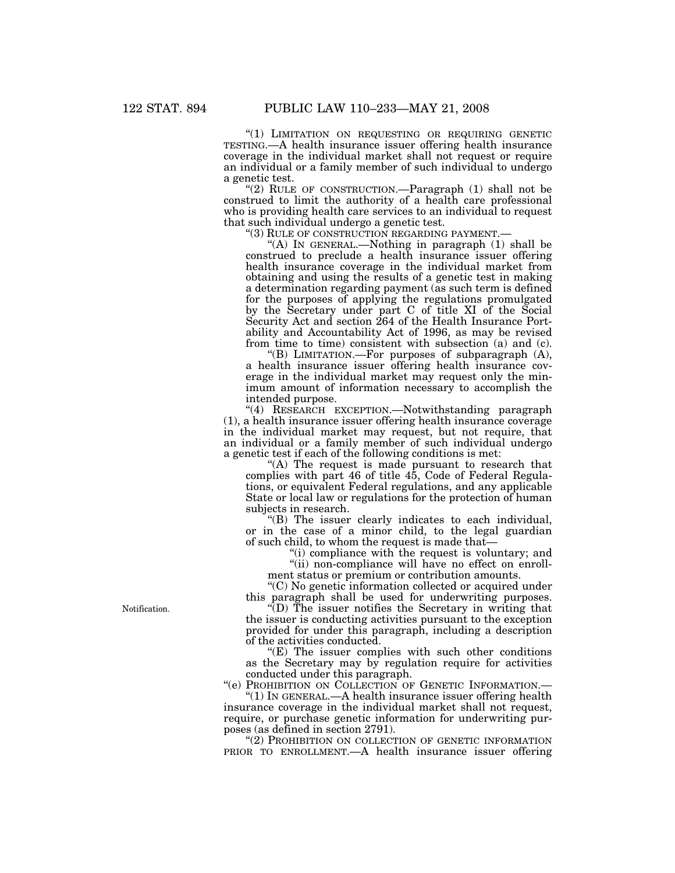''(1) LIMITATION ON REQUESTING OR REQUIRING GENETIC TESTING.—A health insurance issuer offering health insurance coverage in the individual market shall not request or require an individual or a family member of such individual to undergo a genetic test.

''(2) RULE OF CONSTRUCTION.—Paragraph (1) shall not be construed to limit the authority of a health care professional who is providing health care services to an individual to request that such individual undergo a genetic test.<br>"(3) RULE OF CONSTRUCTION REGARDING PAYMENT.

''(3) RULE OF CONSTRUCTION REGARDING PAYMENT.— ''(A) IN GENERAL.—Nothing in paragraph (1) shall be construed to preclude a health insurance issuer offering health insurance coverage in the individual market from obtaining and using the results of a genetic test in making a determination regarding payment (as such term is defined for the purposes of applying the regulations promulgated by the Secretary under part C of title XI of the Social Security Act and section 264 of the Health Insurance Portability and Accountability Act of 1996, as may be revised from time to time) consistent with subsection (a) and (c).

''(B) LIMITATION.—For purposes of subparagraph (A), a health insurance issuer offering health insurance coverage in the individual market may request only the minimum amount of information necessary to accomplish the intended purpose.

''(4) RESEARCH EXCEPTION.—Notwithstanding paragraph (1), a health insurance issuer offering health insurance coverage in the individual market may request, but not require, that an individual or a family member of such individual undergo a genetic test if each of the following conditions is met:

"(A) The request is made pursuant to research that complies with part 46 of title 45, Code of Federal Regulations, or equivalent Federal regulations, and any applicable State or local law or regulations for the protection of human subjects in research.

''(B) The issuer clearly indicates to each individual, or in the case of a minor child, to the legal guardian of such child, to whom the request is made that—

"(i) compliance with the request is voluntary; and "(ii) non-compliance will have no effect on enrollment status or premium or contribution amounts.

''(C) No genetic information collected or acquired under this paragraph shall be used for underwriting purposes.

 $\hat{f}(D)$  The issuer notifies the Secretary in writing that the issuer is conducting activities pursuant to the exception provided for under this paragraph, including a description of the activities conducted.

''(E) The issuer complies with such other conditions as the Secretary may by regulation require for activities conducted under this paragraph.

''(e) PROHIBITION ON COLLECTION OF GENETIC INFORMATION.— ''(1) IN GENERAL.—A health insurance issuer offering health

insurance coverage in the individual market shall not request, require, or purchase genetic information for underwriting purposes (as defined in section 2791).

''(2) PROHIBITION ON COLLECTION OF GENETIC INFORMATION PRIOR TO ENROLLMENT.—A health insurance issuer offering

Notification.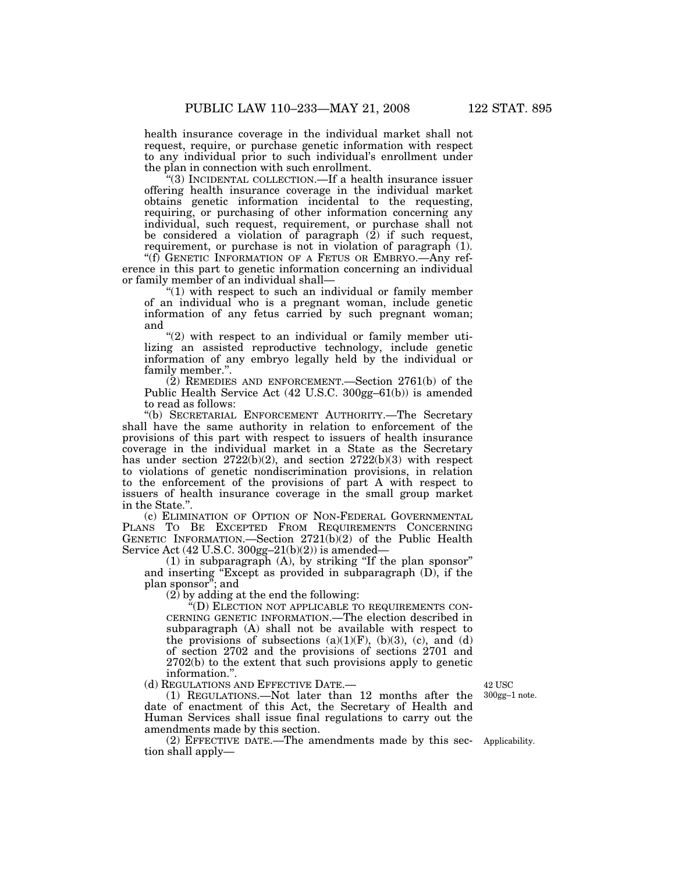health insurance coverage in the individual market shall not request, require, or purchase genetic information with respect to any individual prior to such individual's enrollment under the plan in connection with such enrollment.

''(3) INCIDENTAL COLLECTION.—If a health insurance issuer offering health insurance coverage in the individual market obtains genetic information incidental to the requesting, requiring, or purchasing of other information concerning any individual, such request, requirement, or purchase shall not be considered a violation of paragraph  $(2)$  if such request, requirement, or purchase is not in violation of paragraph (1).

"(f) GENETIC INFORMATION OF A FETUS OR EMBRYO.—Any reference in this part to genetic information concerning an individual or family member of an individual shall—

" $(1)$  with respect to such an individual or family member of an individual who is a pregnant woman, include genetic information of any fetus carried by such pregnant woman; and

 $''(2)$  with respect to an individual or family member utilizing an assisted reproductive technology, include genetic information of any embryo legally held by the individual or family member.''.

(2) REMEDIES AND ENFORCEMENT.—Section 2761(b) of the Public Health Service Act (42 U.S.C. 300gg–61(b)) is amended to read as follows:

''(b) SECRETARIAL ENFORCEMENT AUTHORITY.—The Secretary shall have the same authority in relation to enforcement of the provisions of this part with respect to issuers of health insurance coverage in the individual market in a State as the Secretary has under section 2722(b)(2), and section 2722(b)(3) with respect to violations of genetic nondiscrimination provisions, in relation to the enforcement of the provisions of part A with respect to issuers of health insurance coverage in the small group market in the State.''.

(c) ELIMINATION OF OPTION OF NON-FEDERAL GOVERNMENTAL PLANS TO BE EXCEPTED FROM REQUIREMENTS CONCERNING GENETIC INFORMATION.—Section 2721(b)(2) of the Public Health Service Act  $(42 \text{ U.S.C. } 300 \text{ gg} - 21 \text{ (b)} \text{ (2)})$  is amended—

 $(1)$  in subparagraph  $(A)$ , by striking "If the plan sponsor" and inserting "Except as provided in subparagraph (D), if the plan sponsor''; and

 $(2)$  by adding at the end the following:

''(D) ELECTION NOT APPLICABLE TO REQUIREMENTS CON-CERNING GENETIC INFORMATION.—The election described in subparagraph (A) shall not be available with respect to the provisions of subsections  $(a)(1)(F)$ ,  $(b)(3)$ ,  $(c)$ , and  $(d)$ of section 2702 and the provisions of sections 2701 and 2702(b) to the extent that such provisions apply to genetic information.''.

(d) REGULATIONS AND EFFECTIVE DATE.—

(1) REGULATIONS.—Not later than 12 months after the date of enactment of this Act, the Secretary of Health and Human Services shall issue final regulations to carry out the amendments made by this section.

(2) EFFECTIVE DATE.—The amendments made by this sec-Applicability. tion shall apply—

42 USC 300gg–1 note.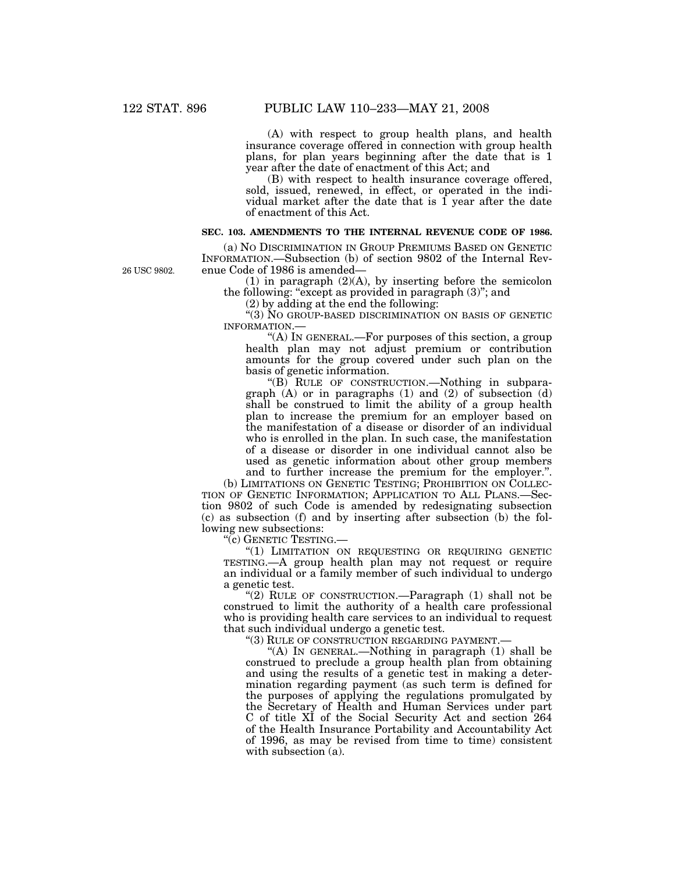(A) with respect to group health plans, and health insurance coverage offered in connection with group health plans, for plan years beginning after the date that is 1 year after the date of enactment of this Act; and

(B) with respect to health insurance coverage offered, sold, issued, renewed, in effect, or operated in the individual market after the date that is  $\overline{1}$  year after the date of enactment of this Act.

#### **SEC. 103. AMENDMENTS TO THE INTERNAL REVENUE CODE OF 1986.**

26 USC 9802.

(a) NO DISCRIMINATION IN GROUP PREMIUMS BASED ON GENETIC INFORMATION.—Subsection (b) of section 9802 of the Internal Revenue Code of 1986 is amended—

 $(1)$  in paragraph  $(2)(A)$ , by inserting before the semicolon the following: "except as provided in paragraph  $(3)$ "; and

 $(2)$  by adding at the end the following:

''(3) NO GROUP-BASED DISCRIMINATION ON BASIS OF GENETIC INFORMATION.—

"(A) IN GENERAL.—For purposes of this section, a group health plan may not adjust premium or contribution amounts for the group covered under such plan on the basis of genetic information.

"(B) RULE OF CONSTRUCTION.—Nothing in subparagraph (A) or in paragraphs (1) and (2) of subsection (d) shall be construed to limit the ability of a group health plan to increase the premium for an employer based on the manifestation of a disease or disorder of an individual who is enrolled in the plan. In such case, the manifestation of a disease or disorder in one individual cannot also be used as genetic information about other group members and to further increase the premium for the employer.''.

(b) LIMITATIONS ON GENETIC TESTING; PROHIBITION ON COLLEC-TION OF GENETIC INFORMATION; APPLICATION TO ALL PLANS.—Section 9802 of such Code is amended by redesignating subsection (c) as subsection (f) and by inserting after subsection (b) the following new subsections:

"(c) GENETIC TESTING.—

''(1) LIMITATION ON REQUESTING OR REQUIRING GENETIC TESTING.—A group health plan may not request or require an individual or a family member of such individual to undergo a genetic test.

"(2) RULE OF CONSTRUCTION.—Paragraph (1) shall not be construed to limit the authority of a health care professional who is providing health care services to an individual to request that such individual undergo a genetic test.

''(3) RULE OF CONSTRUCTION REGARDING PAYMENT.—

"(A) In GENERAL.—Nothing in paragraph  $(1)$  shall be construed to preclude a group health plan from obtaining and using the results of a genetic test in making a determination regarding payment (as such term is defined for the purposes of applying the regulations promulgated by the Secretary of Health and Human Services under part C of title XI of the Social Security Act and section 264 of the Health Insurance Portability and Accountability Act of 1996, as may be revised from time to time) consistent with subsection  $(a)$ .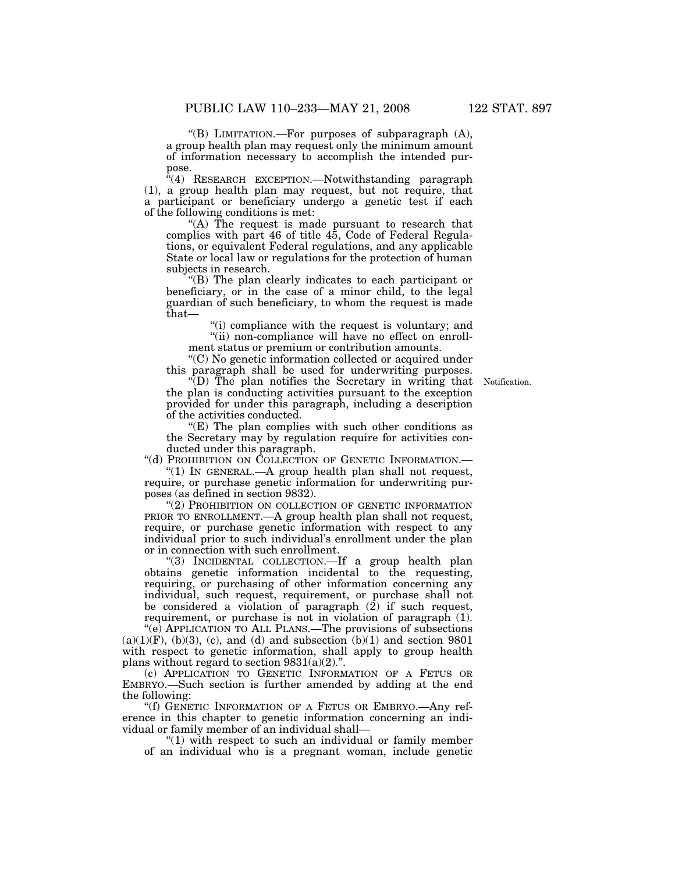''(B) LIMITATION.—For purposes of subparagraph (A), a group health plan may request only the minimum amount of information necessary to accomplish the intended purpose.

 $i(4)$  RESEARCH EXCEPTION. Notwithstanding paragraph (1), a group health plan may request, but not require, that a participant or beneficiary undergo a genetic test if each of the following conditions is met:

"(A) The request is made pursuant to research that complies with part 46 of title 45, Code of Federal Regulations, or equivalent Federal regulations, and any applicable State or local law or regulations for the protection of human subjects in research.

''(B) The plan clearly indicates to each participant or beneficiary, or in the case of a minor child, to the legal guardian of such beneficiary, to whom the request is made that—

''(i) compliance with the request is voluntary; and

"(ii) non-compliance will have no effect on enrollment status or premium or contribution amounts.

''(C) No genetic information collected or acquired under this paragraph shall be used for underwriting purposes.

Notification.

''(D) The plan notifies the Secretary in writing that the plan is conducting activities pursuant to the exception provided for under this paragraph, including a description of the activities conducted.

''(E) The plan complies with such other conditions as the Secretary may by regulation require for activities conducted under this paragraph.

"(d) PROHIBITION ON COLLECTION OF GENETIC INFORMATION.—

''(1) IN GENERAL.—A group health plan shall not request, require, or purchase genetic information for underwriting purposes (as defined in section 9832).

"(2) PROHIBITION ON COLLECTION OF GENETIC INFORMATION PRIOR TO ENROLLMENT.—A group health plan shall not request, require, or purchase genetic information with respect to any individual prior to such individual's enrollment under the plan or in connection with such enrollment.

''(3) INCIDENTAL COLLECTION.—If a group health plan obtains genetic information incidental to the requesting, requiring, or purchasing of other information concerning any individual, such request, requirement, or purchase shall not be considered a violation of paragraph  $(2)$  if such request, requirement, or purchase is not in violation of paragraph (1).

"(e) APPLICATION TO ALL PLANS.—The provisions of subsections  $(a)(1)(F)$ ,  $(b)(3)$ ,  $(c)$ , and  $(d)$  and subsection  $(b)(1)$  and section 9801 with respect to genetic information, shall apply to group health plans without regard to section  $9831(a)(2)$ .".

(c) APPLICATION TO GENETIC INFORMATION OF A FETUS OR EMBRYO.—Such section is further amended by adding at the end the following:

''(f) GENETIC INFORMATION OF A FETUS OR EMBRYO.—Any reference in this chapter to genetic information concerning an individual or family member of an individual shall—

"(1) with respect to such an individual or family member of an individual who is a pregnant woman, include genetic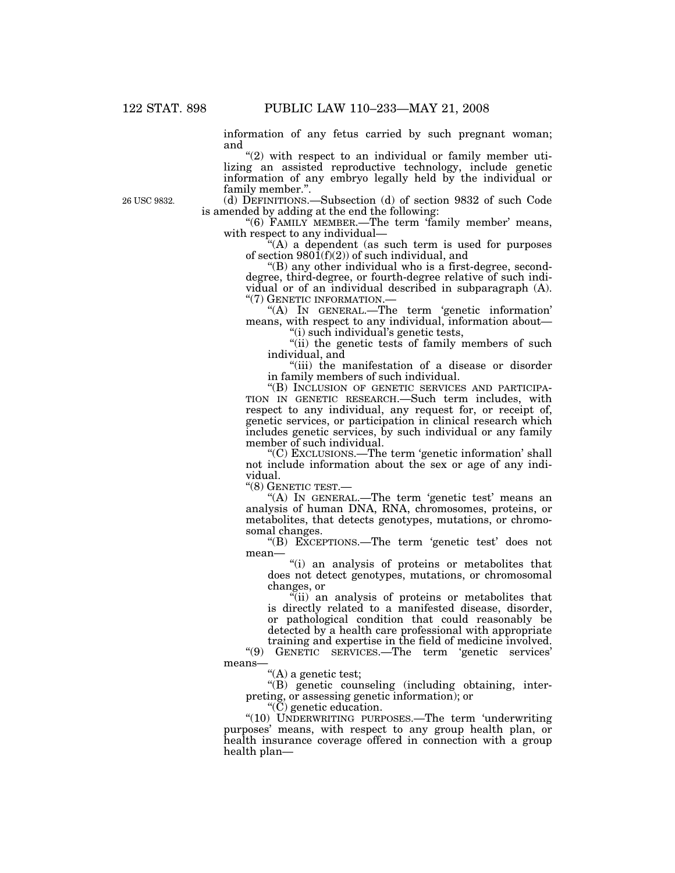information of any fetus carried by such pregnant woman; and

 $''(2)$  with respect to an individual or family member utilizing an assisted reproductive technology, include genetic information of any embryo legally held by the individual or family member.''.

(d) DEFINITIONS.—Subsection (d) of section 9832 of such Code is amended by adding at the end the following:

"(6) FAMILY MEMBER.—The term 'family member' means, with respect to any individual—

'(A) a dependent (as such term is used for purposes of section  $980\tilde{1}(f)(2)$  of such individual, and

"(B) any other individual who is a first-degree, seconddegree, third-degree, or fourth-degree relative of such individual or of an individual described in subparagraph (A).

 $H(A)$  In GENERAL.—The term 'genetic information' means, with respect to any individual, information about—

''(i) such individual's genetic tests,

"(ii) the genetic tests of family members of such individual, and

''(iii) the manifestation of a disease or disorder in family members of such individual.

''(B) INCLUSION OF GENETIC SERVICES AND PARTICIPA-TION IN GENETIC RESEARCH.—Such term includes, with respect to any individual, any request for, or receipt of, genetic services, or participation in clinical research which includes genetic services, by such individual or any family member of such individual.

''(C) EXCLUSIONS.—The term 'genetic information' shall not include information about the sex or age of any individual.

''(8) GENETIC TEST.—

"(A) IN GENERAL.—The term 'genetic test' means an analysis of human DNA, RNA, chromosomes, proteins, or metabolites, that detects genotypes, mutations, or chromosomal changes.

''(B) EXCEPTIONS.—The term 'genetic test' does not mean—

''(i) an analysis of proteins or metabolites that does not detect genotypes, mutations, or chromosomal changes, or

''(ii) an analysis of proteins or metabolites that is directly related to a manifested disease, disorder, or pathological condition that could reasonably be detected by a health care professional with appropriate

training and expertise in the field of medicine involved. ''(9) GENETIC SERVICES.—The term 'genetic services' means—

"(A) a genetic test;

''(B) genetic counseling (including obtaining, interpreting, or assessing genetic information); or

 $\mathrm{``}(\mathrm{C})$  genetic education.

''(10) UNDERWRITING PURPOSES.—The term 'underwriting purposes' means, with respect to any group health plan, or health insurance coverage offered in connection with a group health plan—

26 USC 9832.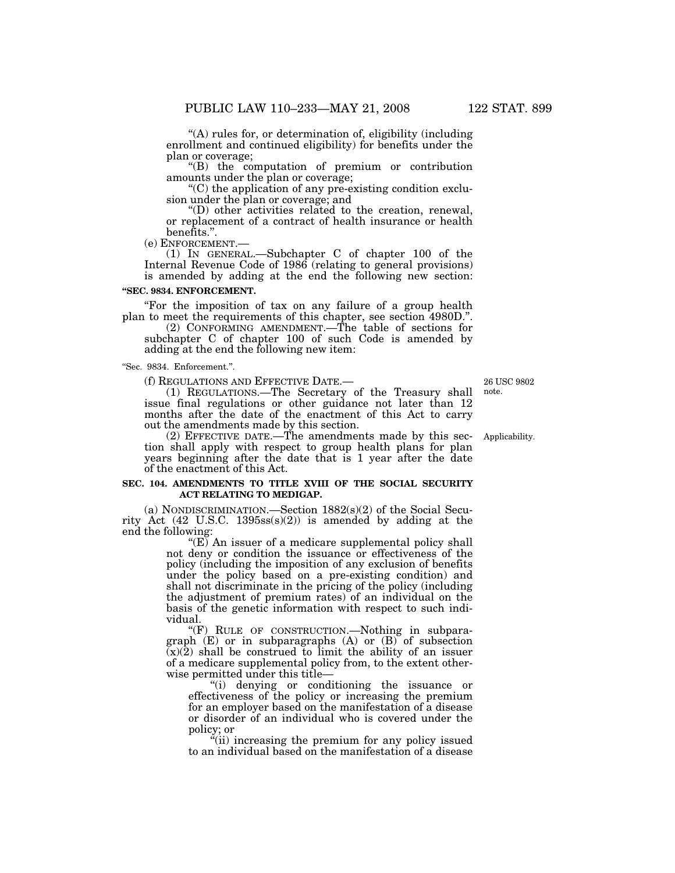''(A) rules for, or determination of, eligibility (including enrollment and continued eligibility) for benefits under the plan or coverage;

''(B) the computation of premium or contribution amounts under the plan or coverage;

 $C$ ) the application of any pre-existing condition exclusion under the plan or coverage; and

''(D) other activities related to the creation, renewal, or replacement of a contract of health insurance or health benefits.''.

(e) ENFORCEMENT.— (1) IN GENERAL.—Subchapter C of chapter 100 of the Internal Revenue Code of 1986 (relating to general provisions) is amended by adding at the end the following new section:

#### **''SEC. 9834. ENFORCEMENT.**

''For the imposition of tax on any failure of a group health plan to meet the requirements of this chapter, see section 4980D.''.

(2) CONFORMING AMENDMENT.—The table of sections for subchapter C of chapter 100 of such Code is amended by adding at the end the following new item:

''Sec. 9834. Enforcement.''.

(f) REGULATIONS AND EFFECTIVE DATE.— (1) REGULATIONS.—The Secretary of the Treasury shall issue final regulations or other guidance not later than 12 months after the date of the enactment of this Act to carry out the amendments made by this section.

(2) EFFECTIVE DATE.—The amendments made by this section shall apply with respect to group health plans for plan years beginning after the date that is 1 year after the date of the enactment of this Act.

#### **SEC. 104. AMENDMENTS TO TITLE XVIII OF THE SOCIAL SECURITY ACT RELATING TO MEDIGAP.**

(a) NONDISCRIMINATION.—Section 1882(s)(2) of the Social Security Act  $(42 \text{ U.S.C. } 1395 \text{ss(s)}(2))$  is amended by adding at the end the following:

" $(E)$  An issuer of a medicare supplemental policy shall not deny or condition the issuance or effectiveness of the policy (including the imposition of any exclusion of benefits under the policy based on a pre-existing condition) and shall not discriminate in the pricing of the policy (including the adjustment of premium rates) of an individual on the basis of the genetic information with respect to such individual.

''(F) RULE OF CONSTRUCTION.—Nothing in subparagraph (E) or in subparagraphs (A) or (B) of subsection  $\overline{(x)}(\overline{2})$  shall be construed to limit the ability of an issuer of a medicare supplemental policy from, to the extent otherwise permitted under this title—

''(i) denying or conditioning the issuance or effectiveness of the policy or increasing the premium for an employer based on the manifestation of a disease or disorder of an individual who is covered under the policy; or

 $\ddot{a}$ (ii) increasing the premium for any policy issued to an individual based on the manifestation of a disease

26 USC 9802 note.

Applicability.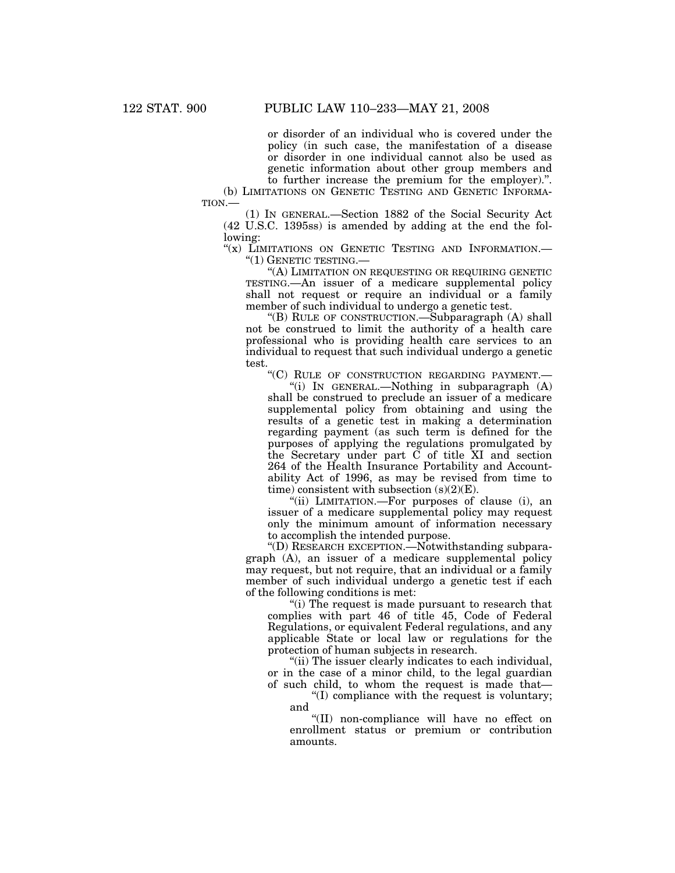or disorder of an individual who is covered under the policy (in such case, the manifestation of a disease or disorder in one individual cannot also be used as genetic information about other group members and to further increase the premium for the employer).''.

(b) LIMITATIONS ON GENETIC TESTING AND GENETIC INFORMA-TION.—

(1) IN GENERAL.—Section 1882 of the Social Security Act (42 U.S.C. 1395ss) is amended by adding at the end the following:

"(x) LIMITATIONS ON GENETIC TESTING AND INFORMATION.-''(1) GENETIC TESTING.—

''(A) LIMITATION ON REQUESTING OR REQUIRING GENETIC TESTING.—An issuer of a medicare supplemental policy shall not request or require an individual or a family member of such individual to undergo a genetic test.

''(B) RULE OF CONSTRUCTION.—Subparagraph (A) shall not be construed to limit the authority of a health care professional who is providing health care services to an individual to request that such individual undergo a genetic test.

''(C) RULE OF CONSTRUCTION REGARDING PAYMENT.—

"(i) IN GENERAL.—Nothing in subparagraph  $(A)$ shall be construed to preclude an issuer of a medicare supplemental policy from obtaining and using the results of a genetic test in making a determination regarding payment (as such term is defined for the purposes of applying the regulations promulgated by the Secretary under part  $\check{C}$  of title XI and section 264 of the Health Insurance Portability and Accountability Act of 1996, as may be revised from time to time) consistent with subsection (s)(2)(E).

"(ii) LIMITATION.—For purposes of clause (i), an issuer of a medicare supplemental policy may request only the minimum amount of information necessary to accomplish the intended purpose.

''(D) RESEARCH EXCEPTION.—Notwithstanding subparagraph (A), an issuer of a medicare supplemental policy may request, but not require, that an individual or a family member of such individual undergo a genetic test if each of the following conditions is met:

''(i) The request is made pursuant to research that complies with part 46 of title 45, Code of Federal Regulations, or equivalent Federal regulations, and any applicable State or local law or regulations for the protection of human subjects in research.

"(ii) The issuer clearly indicates to each individual, or in the case of a minor child, to the legal guardian of such child, to whom the request is made that—

''(I) compliance with the request is voluntary; and

''(II) non-compliance will have no effect on enrollment status or premium or contribution amounts.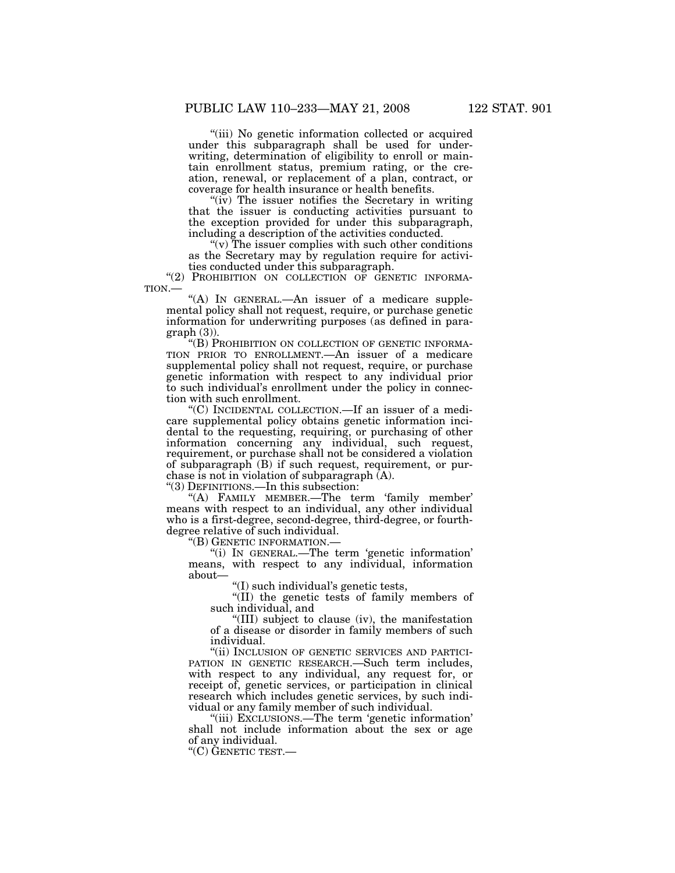"(iii) No genetic information collected or acquired under this subparagraph shall be used for underwriting, determination of eligibility to enroll or maintain enrollment status, premium rating, or the creation, renewal, or replacement of a plan, contract, or coverage for health insurance or health benefits.

" $(iv)$  The issuer notifies the Secretary in writing that the issuer is conducting activities pursuant to the exception provided for under this subparagraph, including a description of the activities conducted.

 $(v)$  The issuer complies with such other conditions as the Secretary may by regulation require for activities conducted under this subparagraph.

"(2) PROHIBITION ON COLLECTION OF GENETIC INFORMATION.— "(A) IN GENERAL.—An issuer of a medicare supple-

mental policy shall not request, require, or purchase genetic information for underwriting purposes (as defined in para $graph(3)$ ).

''(B) PROHIBITION ON COLLECTION OF GENETIC INFORMA-TION PRIOR TO ENROLLMENT.—An issuer of a medicare supplemental policy shall not request, require, or purchase genetic information with respect to any individual prior to such individual's enrollment under the policy in connection with such enrollment.

''(C) INCIDENTAL COLLECTION.—If an issuer of a medicare supplemental policy obtains genetic information incidental to the requesting, requiring, or purchasing of other information concerning any individual, such request, requirement, or purchase shall not be considered a violation of subparagraph (B) if such request, requirement, or purchase is not in violation of subparagraph (A).

''(3) DEFINITIONS.—In this subsection:

''(A) FAMILY MEMBER.—The term 'family member' means with respect to an individual, any other individual who is a first-degree, second-degree, third-degree, or fourthdegree relative of such individual.

''(B) GENETIC INFORMATION.—

''(i) IN GENERAL.—The term 'genetic information' means, with respect to any individual, information about—

''(I) such individual's genetic tests,

''(II) the genetic tests of family members of such individual, and

''(III) subject to clause (iv), the manifestation of a disease or disorder in family members of such individual.

''(ii) INCLUSION OF GENETIC SERVICES AND PARTICI-PATION IN GENETIC RESEARCH.—Such term includes, with respect to any individual, any request for, or receipt of, genetic services, or participation in clinical research which includes genetic services, by such individual or any family member of such individual.

''(iii) EXCLUSIONS.—The term 'genetic information' shall not include information about the sex or age of any individual.

''(C) GENETIC TEST.—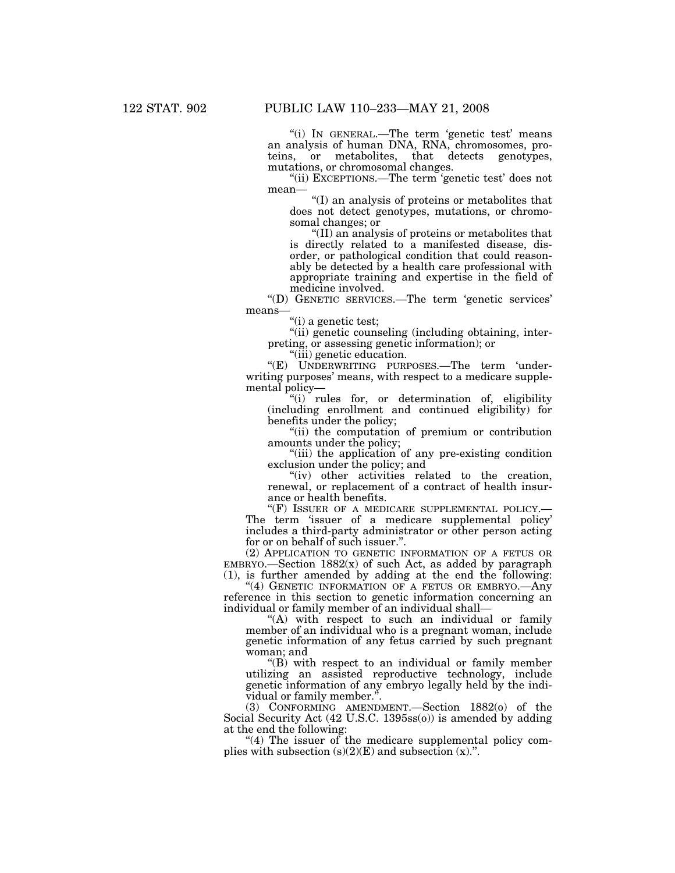''(i) IN GENERAL.—The term 'genetic test' means an analysis of human DNA, RNA, chromosomes, proteins, or metabolites, that detects genotypes, mutations, or chromosomal changes.

"(ii) EXCEPTIONS.—The term 'genetic test' does not mean—

''(I) an analysis of proteins or metabolites that does not detect genotypes, mutations, or chromosomal changes; or

''(II) an analysis of proteins or metabolites that is directly related to a manifested disease, disorder, or pathological condition that could reasonably be detected by a health care professional with appropriate training and expertise in the field of medicine involved.

''(D) GENETIC SERVICES.—The term 'genetic services' means—

"(i) a genetic test;

"(ii) genetic counseling (including obtaining, interpreting, or assessing genetic information); or

''(iii) genetic education.

''(E) UNDERWRITING PURPOSES.—The term 'underwriting purposes' means, with respect to a medicare supplemental policy—

''(i) rules for, or determination of, eligibility (including enrollment and continued eligibility) for benefits under the policy;

''(ii) the computation of premium or contribution amounts under the policy;

''(iii) the application of any pre-existing condition exclusion under the policy; and

"(iv) other activities related to the creation, renewal, or replacement of a contract of health insurance or health benefits.<br>"(F) ISSUER OF A MEDICARE SUPPLEMENTAL POLICY.—

The term 'issuer of a medicare supplemental policy' includes a third-party administrator or other person acting for or on behalf of such issuer.''.

(2) APPLICATION TO GENETIC INFORMATION OF A FETUS OR  $EMBRYO$ .—Section  $1882(x)$  of such Act, as added by paragraph (1), is further amended by adding at the end the following:

"(4) GENETIC INFORMATION OF A FETUS OR EMBRYO. Any reference in this section to genetic information concerning an individual or family member of an individual shall—

"(A) with respect to such an individual or family member of an individual who is a pregnant woman, include genetic information of any fetus carried by such pregnant woman; and

''(B) with respect to an individual or family member utilizing an assisted reproductive technology, include genetic information of any embryo legally held by the individual or family member."

(3) CONFORMING AMENDMENT.—Section 1882(o) of the Social Security Act (42 U.S.C. 1395ss(o)) is amended by adding at the end the following:

" $(4)$  The issuer of the medicare supplemental policy complies with subsection  $(s)(2)(E)$  and subsection  $(x)$ .".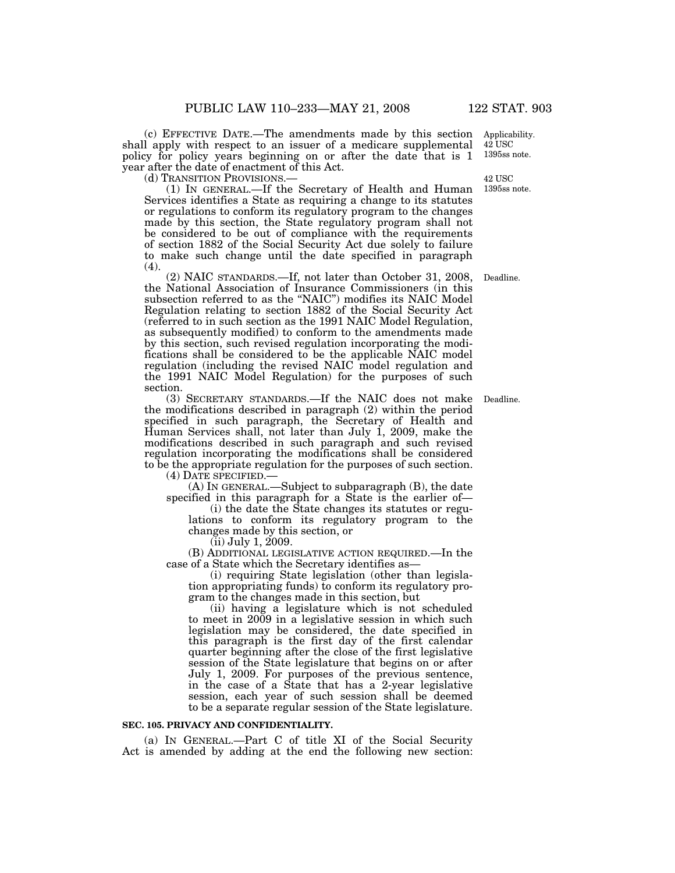(c) EFFECTIVE DATE.—The amendments made by this section Applicability. shall apply with respect to an issuer of a medicare supplemental policy for policy years beginning on or after the date that is 1 year after the date of enactment of this Act.<br>(d) TRANSITION PROVISIONS.—

 $(1)$  IN GENERAL.—If the Secretary of Health and Human Services identifies a State as requiring a change to its statutes or regulations to conform its regulatory program to the changes made by this section, the State regulatory program shall not be considered to be out of compliance with the requirements of section 1882 of the Social Security Act due solely to failure to make such change until the date specified in paragraph (4).

(2) NAIC STANDARDS.—If, not later than October 31, 2008, the National Association of Insurance Commissioners (in this subsection referred to as the ''NAIC'') modifies its NAIC Model Regulation relating to section 1882 of the Social Security Act (referred to in such section as the 1991 NAIC Model Regulation, as subsequently modified) to conform to the amendments made by this section, such revised regulation incorporating the modifications shall be considered to be the applicable NAIC model regulation (including the revised NAIC model regulation and the 1991 NAIC Model Regulation) for the purposes of such section.

(3) SECRETARY STANDARDS.—If the NAIC does not make Deadline. the modifications described in paragraph (2) within the period specified in such paragraph, the Secretary of Health and Human Services shall, not later than July 1, 2009, make the modifications described in such paragraph and such revised regulation incorporating the modifications shall be considered to be the appropriate regulation for the purposes of such section.

(4) DATE SPECIFIED.—

(A) IN GENERAL.—Subject to subparagraph (B), the date specified in this paragraph for a State is the earlier of—

(i) the date the State changes its statutes or regulations to conform its regulatory program to the changes made by this section, or

(ii) July 1, 2009.

(B) ADDITIONAL LEGISLATIVE ACTION REQUIRED.—In the case of a State which the Secretary identifies as—

(i) requiring State legislation (other than legislation appropriating funds) to conform its regulatory program to the changes made in this section, but

(ii) having a legislature which is not scheduled to meet in 2009 in a legislative session in which such legislation may be considered, the date specified in this paragraph is the first day of the first calendar quarter beginning after the close of the first legislative session of the State legislature that begins on or after July 1, 2009. For purposes of the previous sentence, in the case of a State that has a 2-year legislative session, each year of such session shall be deemed to be a separate regular session of the State legislature.

#### **SEC. 105. PRIVACY AND CONFIDENTIALITY.**

(a) IN GENERAL.—Part C of title XI of the Social Security Act is amended by adding at the end the following new section:

42 USC 1395ss note.

42 USC 1395ss note.

Deadline.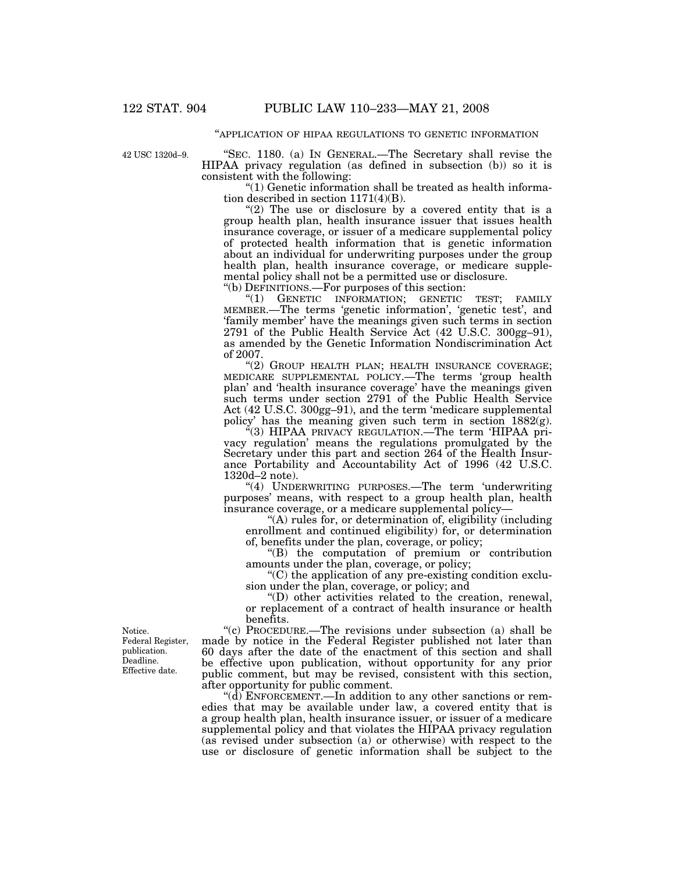#### ''APPLICATION OF HIPAA REGULATIONS TO GENETIC INFORMATION

42 USC 1320d–9.

''SEC. 1180. (a) IN GENERAL.—The Secretary shall revise the HIPAA privacy regulation (as defined in subsection (b)) so it is consistent with the following:

''(1) Genetic information shall be treated as health information described in section 1171(4)(B).

"(2) The use or disclosure by a covered entity that is a group health plan, health insurance issuer that issues health insurance coverage, or issuer of a medicare supplemental policy of protected health information that is genetic information about an individual for underwriting purposes under the group health plan, health insurance coverage, or medicare supplemental policy shall not be a permitted use or disclosure. ''(b) DEFINITIONS.—For purposes of this section:

"(1) GENETIC INFORMATION; GENETIC TEST; FAMILY MEMBER.—The terms 'genetic information', 'genetic test', and 'family member' have the meanings given such terms in section 2791 of the Public Health Service Act (42 U.S.C. 300gg–91), as amended by the Genetic Information Nondiscrimination Act of 2007.

"(2) GROUP HEALTH PLAN; HEALTH INSURANCE COVERAGE; MEDICARE SUPPLEMENTAL POLICY.—The terms 'group health plan' and 'health insurance coverage' have the meanings given such terms under section 2791 of the Public Health Service Act (42 U.S.C. 300gg–91), and the term 'medicare supplemental policy' has the meaning given such term in section 1882(g).

"(3) HIPAA PRIVACY REGULATION.—The term 'HIPAA privacy regulation' means the regulations promulgated by the Secretary under this part and section 264 of the Health Insurance Portability and Accountability Act of 1996 (42 U.S.C. 1320d–2 note).

''(4) UNDERWRITING PURPOSES.—The term 'underwriting purposes' means, with respect to a group health plan, health insurance coverage, or a medicare supplemental policy—

''(A) rules for, or determination of, eligibility (including enrollment and continued eligibility) for, or determination of, benefits under the plan, coverage, or policy;

''(B) the computation of premium or contribution amounts under the plan, coverage, or policy;

''(C) the application of any pre-existing condition exclusion under the plan, coverage, or policy; and

''(D) other activities related to the creation, renewal, or replacement of a contract of health insurance or health benefits.

''(c) PROCEDURE.—The revisions under subsection (a) shall be made by notice in the Federal Register published not later than 60 days after the date of the enactment of this section and shall be effective upon publication, without opportunity for any prior public comment, but may be revised, consistent with this section, after opportunity for public comment.

" $(d)$  ENFORCEMENT.—In addition to any other sanctions or remedies that may be available under law, a covered entity that is a group health plan, health insurance issuer, or issuer of a medicare supplemental policy and that violates the HIPAA privacy regulation (as revised under subsection (a) or otherwise) with respect to the use or disclosure of genetic information shall be subject to the

Notice. Federal Register, publication. Deadline. Effective date.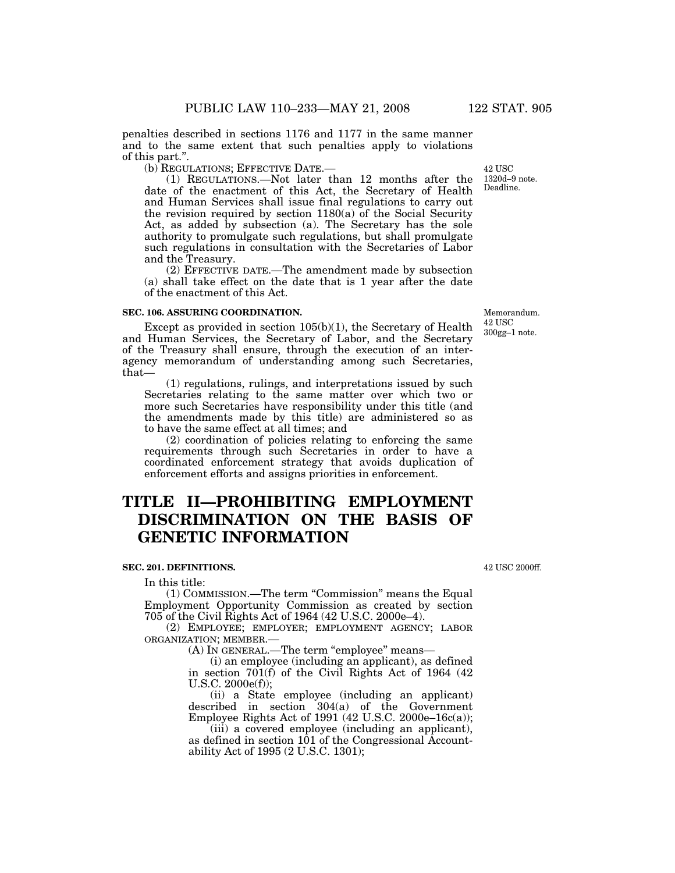penalties described in sections 1176 and 1177 in the same manner and to the same extent that such penalties apply to violations of this part.''.

(b) REGULATIONS; EFFECTIVE DATE.—

(1) REGULATIONS.—Not later than 12 months after the date of the enactment of this Act, the Secretary of Health and Human Services shall issue final regulations to carry out the revision required by section  $1180(a)$  of the Social Security Act, as added by subsection (a). The Secretary has the sole authority to promulgate such regulations, but shall promulgate such regulations in consultation with the Secretaries of Labor and the Treasury.

(2) EFFECTIVE DATE.—The amendment made by subsection (a) shall take effect on the date that is 1 year after the date of the enactment of this Act.

#### **SEC. 106. ASSURING COORDINATION.**

Except as provided in section 105(b)(1), the Secretary of Health and Human Services, the Secretary of Labor, and the Secretary of the Treasury shall ensure, through the execution of an interagency memorandum of understanding among such Secretaries, that—

(1) regulations, rulings, and interpretations issued by such Secretaries relating to the same matter over which two or more such Secretaries have responsibility under this title (and the amendments made by this title) are administered so as to have the same effect at all times; and

(2) coordination of policies relating to enforcing the same requirements through such Secretaries in order to have a coordinated enforcement strategy that avoids duplication of enforcement efforts and assigns priorities in enforcement.

# **TITLE II—PROHIBITING EMPLOYMENT DISCRIMINATION ON THE BASIS OF GENETIC INFORMATION**

#### **SEC. 201. DEFINITIONS.**

In this title:

(1) COMMISSION.—The term ''Commission'' means the Equal Employment Opportunity Commission as created by section 705 of the Civil Rights Act of 1964 (42 U.S.C. 2000e–4).

(2) EMPLOYEE; EMPLOYER; EMPLOYMENT AGENCY; LABOR ORGANIZATION; MEMBER.—

(A) IN GENERAL.—The term ''employee'' means—

(i) an employee (including an applicant), as defined in section  $701(f)$  of the Civil Rights Act of 1964 (42) U.S.C. 2000e(f));

(ii) a State employee (including an applicant) described in section 304(a) of the Government Employee Rights Act of 1991 (42 U.S.C. 2000e–16c(a));

(iii) a covered employee (including an applicant), as defined in section 101 of the Congressional Accountability Act of 1995 (2 U.S.C. 1301);

42 USC 2000ff.

Memorandum. 42 USC 300gg–1 note.

Deadline. 42 USC 1320d–9 note.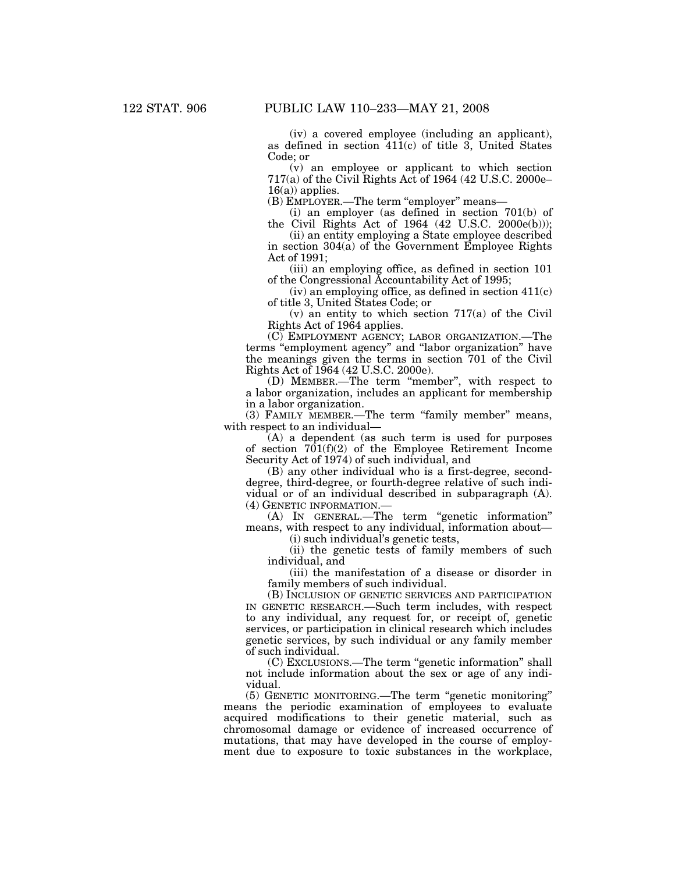(iv) a covered employee (including an applicant), as defined in section 411(c) of title 3, United States Code; or

(v) an employee or applicant to which section 717(a) of the Civil Rights Act of 1964 (42 U.S.C. 2000e–  $16(a)$  applies.

(B) EMPLOYER.—The term "employer" means—

(i) an employer (as defined in section 701(b) of the Civil Rights Act of  $1964$  (42 U.S.C. 2000e(b)));

(ii) an entity employing a State employee described in section 304(a) of the Government Employee Rights Act of 1991;

(iii) an employing office, as defined in section 101 of the Congressional Accountability Act of 1995;

 $(iv)$  an employing office, as defined in section  $411(c)$ of title 3, United States Code; or

(v) an entity to which section 717(a) of the Civil Rights Act of 1964 applies.

(C) EMPLOYMENT AGENCY; LABOR ORGANIZATION.—The terms "employment agency" and "labor organization" have the meanings given the terms in section 701 of the Civil Rights Act of 1964 (42 U.S.C. 2000e).

(D) MEMBER.—The term ''member'', with respect to a labor organization, includes an applicant for membership in a labor organization.

(3) FAMILY MEMBER.—The term "family member" means, with respect to an individual—

(A) a dependent (as such term is used for purposes of section  $701(f)(2)$  of the Employee Retirement Income Security Act of 1974) of such individual, and

(B) any other individual who is a first-degree, seconddegree, third-degree, or fourth-degree relative of such individual or of an individual described in subparagraph (A). (4) GENETIC INFORMATION.—

(A) IN GENERAL.—The term ''genetic information'' means, with respect to any individual, information about—

(i) such individual's genetic tests,

(ii) the genetic tests of family members of such individual, and

(iii) the manifestation of a disease or disorder in family members of such individual.

(B) INCLUSION OF GENETIC SERVICES AND PARTICIPATION IN GENETIC RESEARCH.—Such term includes, with respect to any individual, any request for, or receipt of, genetic services, or participation in clinical research which includes genetic services, by such individual or any family member of such individual.

(C) EXCLUSIONS.—The term ''genetic information'' shall not include information about the sex or age of any individual.

(5) GENETIC MONITORING.—The term ''genetic monitoring'' means the periodic examination of employees to evaluate acquired modifications to their genetic material, such as chromosomal damage or evidence of increased occurrence of mutations, that may have developed in the course of employment due to exposure to toxic substances in the workplace,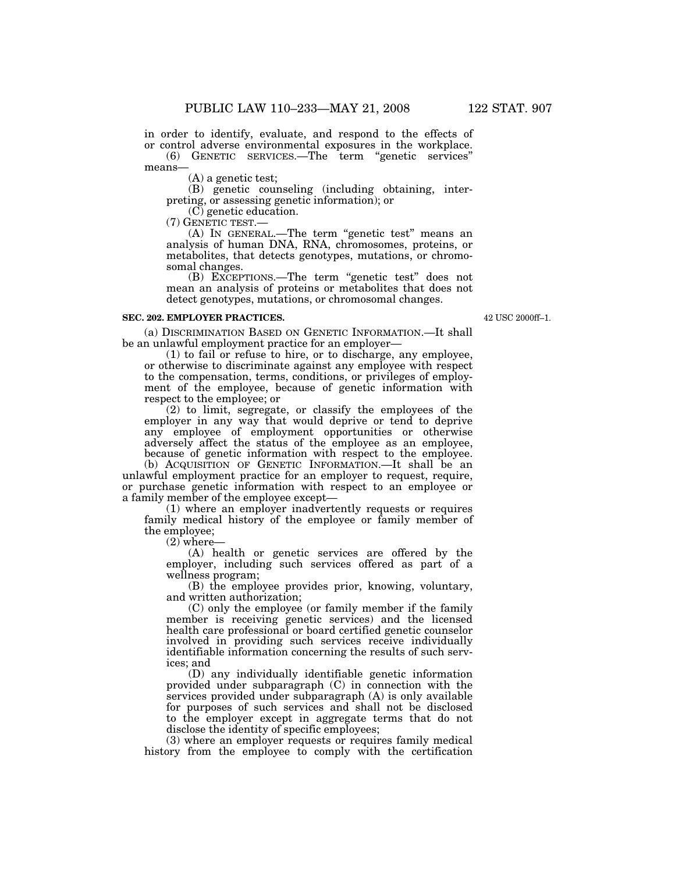means—

(A) a genetic test;

(B) genetic counseling (including obtaining, interpreting, or assessing genetic information); or

(C) genetic education.<br>(7) GENETIC TEST.—

(A) In GENERAL.—The term "genetic test" means an analysis of human DNA, RNA, chromosomes, proteins, or metabolites, that detects genotypes, mutations, or chromosomal changes.

(B) EXCEPTIONS.—The term ''genetic test'' does not mean an analysis of proteins or metabolites that does not detect genotypes, mutations, or chromosomal changes.

#### **SEC. 202. EMPLOYER PRACTICES.**

42 USC 2000ff–1.

(a) DISCRIMINATION BASED ON GENETIC INFORMATION.—It shall be an unlawful employment practice for an employer—

(1) to fail or refuse to hire, or to discharge, any employee, or otherwise to discriminate against any employee with respect to the compensation, terms, conditions, or privileges of employment of the employee, because of genetic information with respect to the employee; or

(2) to limit, segregate, or classify the employees of the employer in any way that would deprive or tend to deprive any employee of employment opportunities or otherwise adversely affect the status of the employee as an employee, because of genetic information with respect to the employee.

(b) ACQUISITION OF GENETIC INFORMATION.—It shall be an unlawful employment practice for an employer to request, require, or purchase genetic information with respect to an employee or a family member of the employee except—

(1) where an employer inadvertently requests or requires family medical history of the employee or family member of the employee;

 $(2)$  where-

(A) health or genetic services are offered by the employer, including such services offered as part of a wellness program;

(B) the employee provides prior, knowing, voluntary, and written authorization;

(C) only the employee (or family member if the family member is receiving genetic services) and the licensed health care professional or board certified genetic counselor involved in providing such services receive individually identifiable information concerning the results of such services; and

(D) any individually identifiable genetic information provided under subparagraph (C) in connection with the services provided under subparagraph (A) is only available for purposes of such services and shall not be disclosed to the employer except in aggregate terms that do not disclose the identity of specific employees;

(3) where an employer requests or requires family medical history from the employee to comply with the certification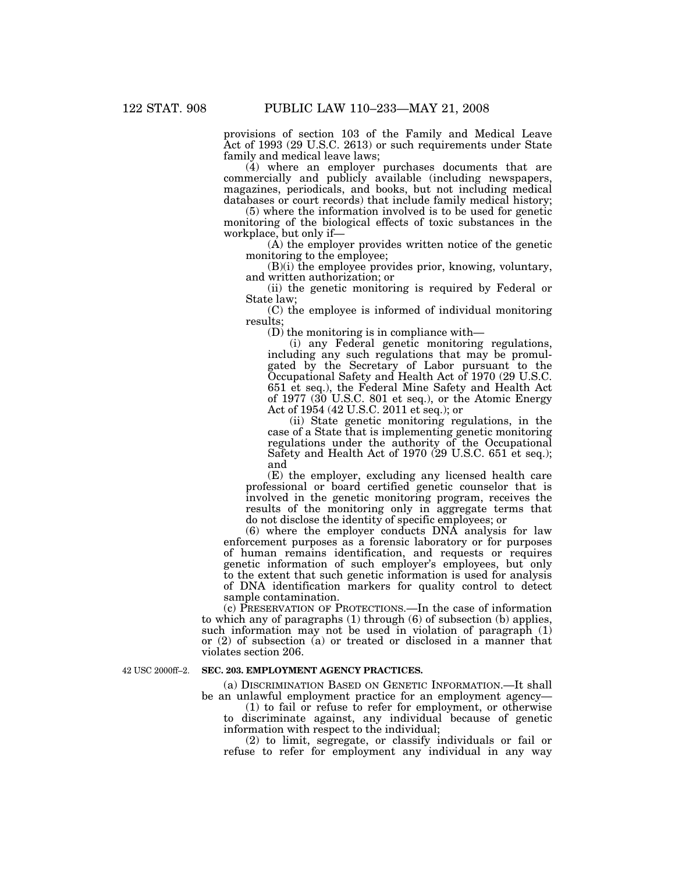provisions of section 103 of the Family and Medical Leave Act of 1993 (29 U.S.C. 2613) or such requirements under State family and medical leave laws;

(4) where an employer purchases documents that are commercially and publicly available (including newspapers, magazines, periodicals, and books, but not including medical databases or court records) that include family medical history;

(5) where the information involved is to be used for genetic monitoring of the biological effects of toxic substances in the workplace, but only if—

(A) the employer provides written notice of the genetic monitoring to the employee;

(B)(i) the employee provides prior, knowing, voluntary, and written authorization; or

(ii) the genetic monitoring is required by Federal or State law;

(C) the employee is informed of individual monitoring results;

(D) the monitoring is in compliance with—

(i) any Federal genetic monitoring regulations, including any such regulations that may be promulgated by the Secretary of Labor pursuant to the Occupational Safety and Health Act of 1970 (29 U.S.C. 651 et seq.), the Federal Mine Safety and Health Act of 1977 (30 U.S.C. 801 et seq.), or the Atomic Energy Act of 1954 (42 U.S.C. 2011 et seq.); or

(ii) State genetic monitoring regulations, in the case of a State that is implementing genetic monitoring regulations under the authority of the Occupational Safety and Health Act of 1970 (29 U.S.C. 651 et seq.); and

(E) the employer, excluding any licensed health care professional or board certified genetic counselor that is involved in the genetic monitoring program, receives the results of the monitoring only in aggregate terms that do not disclose the identity of specific employees; or

(6) where the employer conducts DNA analysis for law enforcement purposes as a forensic laboratory or for purposes of human remains identification, and requests or requires genetic information of such employer's employees, but only to the extent that such genetic information is used for analysis of DNA identification markers for quality control to detect sample contamination.

(c) PRESERVATION OF PROTECTIONS.—In the case of information to which any of paragraphs (1) through (6) of subsection (b) applies, such information may not be used in violation of paragraph (1) or (2) of subsection (a) or treated or disclosed in a manner that violates section 206.

42 USC 2000ff–2.

# **SEC. 203. EMPLOYMENT AGENCY PRACTICES.**

(a) DISCRIMINATION BASED ON GENETIC INFORMATION.—It shall be an unlawful employment practice for an employment agency—

(1) to fail or refuse to refer for employment, or otherwise discriminate against, any individual because of genetic information with respect to the individual;

(2) to limit, segregate, or classify individuals or fail or refuse to refer for employment any individual in any way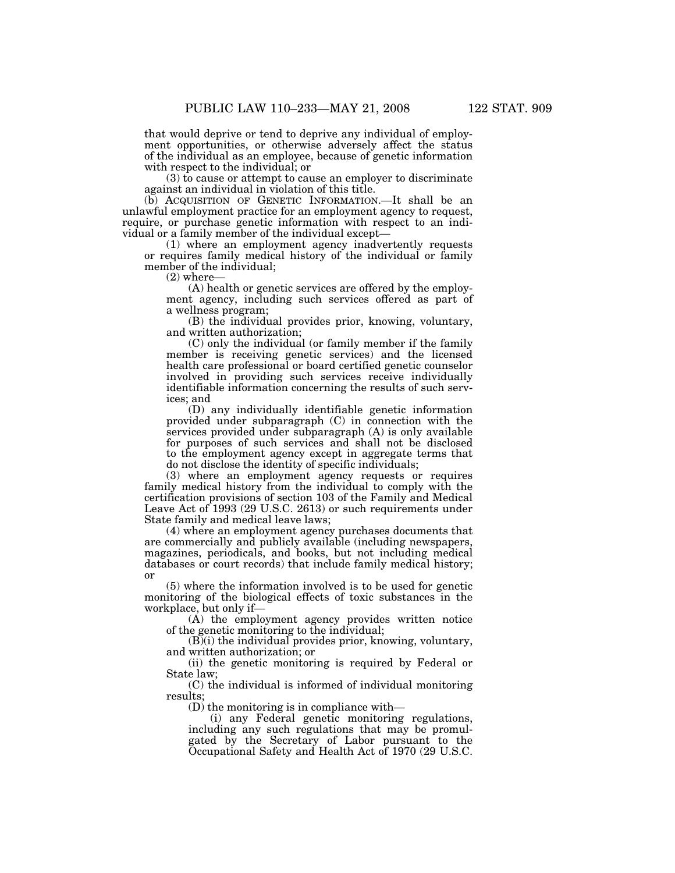that would deprive or tend to deprive any individual of employment opportunities, or otherwise adversely affect the status of the individual as an employee, because of genetic information with respect to the individual; or

(3) to cause or attempt to cause an employer to discriminate against an individual in violation of this title.

(b) ACQUISITION OF GENETIC INFORMATION.—It shall be an unlawful employment practice for an employment agency to request, require, or purchase genetic information with respect to an individual or a family member of the individual except—

(1) where an employment agency inadvertently requests or requires family medical history of the individual or family member of the individual;

 $(2)$  where-

(A) health or genetic services are offered by the employment agency, including such services offered as part of a wellness program;

(B) the individual provides prior, knowing, voluntary, and written authorization;

(C) only the individual (or family member if the family member is receiving genetic services) and the licensed health care professional or board certified genetic counselor involved in providing such services receive individually identifiable information concerning the results of such services; and

(D) any individually identifiable genetic information provided under subparagraph (C) in connection with the services provided under subparagraph (A) is only available for purposes of such services and shall not be disclosed to the employment agency except in aggregate terms that do not disclose the identity of specific individuals;

(3) where an employment agency requests or requires family medical history from the individual to comply with the certification provisions of section 103 of the Family and Medical Leave Act of 1993 (29 U.S.C. 2613) or such requirements under State family and medical leave laws;

(4) where an employment agency purchases documents that are commercially and publicly available (including newspapers, magazines, periodicals, and books, but not including medical databases or court records) that include family medical history; or

(5) where the information involved is to be used for genetic monitoring of the biological effects of toxic substances in the workplace, but only if—

(A) the employment agency provides written notice of the genetic monitoring to the individual;

 $(B)(i)$  the individual provides prior, knowing, voluntary, and written authorization; or

(ii) the genetic monitoring is required by Federal or State law;

(C) the individual is informed of individual monitoring results;

(D) the monitoring is in compliance with—

(i) any Federal genetic monitoring regulations, including any such regulations that may be promulgated by the Secretary of Labor pursuant to the Occupational Safety and Health Act of 1970 (29 U.S.C.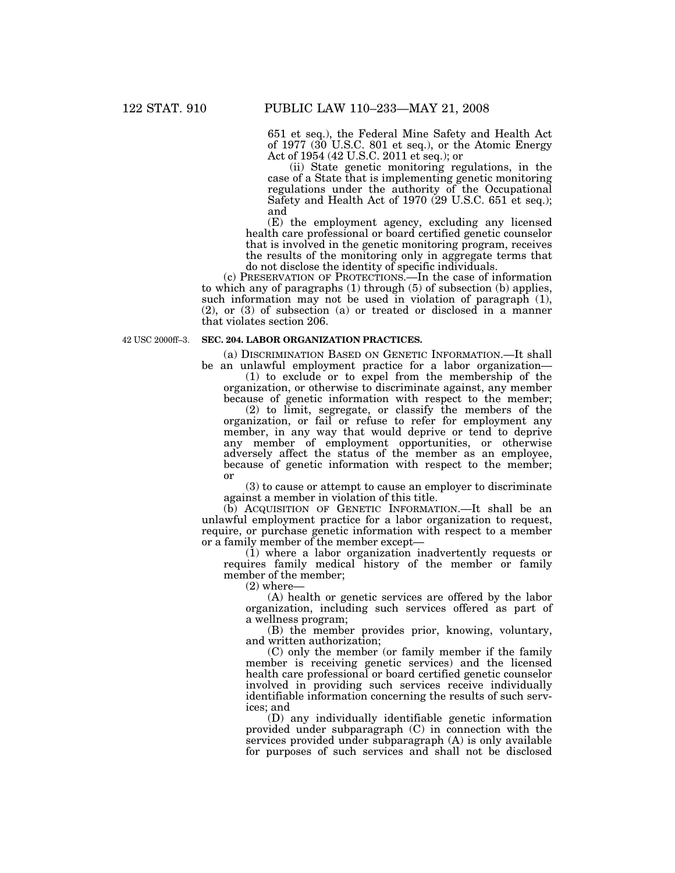651 et seq.), the Federal Mine Safety and Health Act of 1977 (30 U.S.C. 801 et seq.), or the Atomic Energy Act of 1954 (42 U.S.C. 2011 et seq.); or

(ii) State genetic monitoring regulations, in the case of a State that is implementing genetic monitoring regulations under the authority of the Occupational Safety and Health Act of 1970 (29 U.S.C. 651 et seq.); and

(E) the employment agency, excluding any licensed health care professional or board certified genetic counselor that is involved in the genetic monitoring program, receives the results of the monitoring only in aggregate terms that do not disclose the identity of specific individuals.

(c) PRESERVATION OF PROTECTIONS.—In the case of information to which any of paragraphs (1) through (5) of subsection (b) applies, such information may not be used in violation of paragraph (1), (2), or (3) of subsection (a) or treated or disclosed in a manner that violates section 206.

42 USC 2000ff–3.

#### **SEC. 204. LABOR ORGANIZATION PRACTICES.**

(a) DISCRIMINATION BASED ON GENETIC INFORMATION.—It shall be an unlawful employment practice for a labor organization—

(1) to exclude or to expel from the membership of the organization, or otherwise to discriminate against, any member because of genetic information with respect to the member;

(2) to limit, segregate, or classify the members of the organization, or fail or refuse to refer for employment any member, in any way that would deprive or tend to deprive any member of employment opportunities, or otherwise adversely affect the status of the member as an employee, because of genetic information with respect to the member; or

(3) to cause or attempt to cause an employer to discriminate against a member in violation of this title.

(b) ACQUISITION OF GENETIC INFORMATION.—It shall be an unlawful employment practice for a labor organization to request, require, or purchase genetic information with respect to a member or a family member of the member except—

(1) where a labor organization inadvertently requests or requires family medical history of the member or family member of the member;

(2) where—

(A) health or genetic services are offered by the labor organization, including such services offered as part of a wellness program;

(B) the member provides prior, knowing, voluntary, and written authorization;

(C) only the member (or family member if the family member is receiving genetic services) and the licensed health care professional or board certified genetic counselor involved in providing such services receive individually identifiable information concerning the results of such services; and

(D) any individually identifiable genetic information provided under subparagraph (C) in connection with the services provided under subparagraph (A) is only available for purposes of such services and shall not be disclosed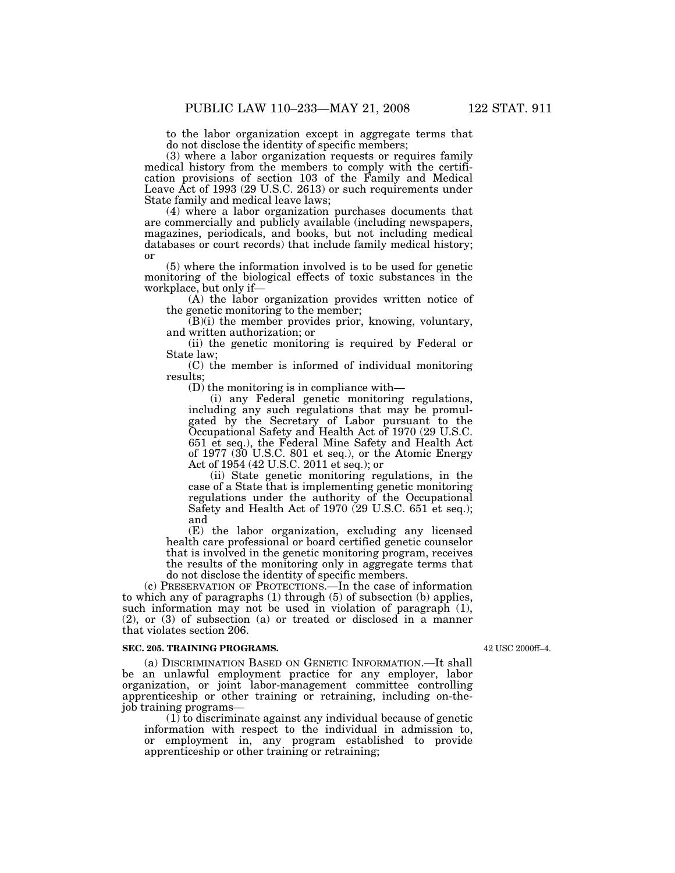to the labor organization except in aggregate terms that do not disclose the identity of specific members;

(3) where a labor organization requests or requires family medical history from the members to comply with the certification provisions of section 103 of the Family and Medical Leave Act of 1993 (29 U.S.C. 2613) or such requirements under State family and medical leave laws;

(4) where a labor organization purchases documents that are commercially and publicly available (including newspapers, magazines, periodicals, and books, but not including medical databases or court records) that include family medical history; or

(5) where the information involved is to be used for genetic monitoring of the biological effects of toxic substances in the workplace, but only if—

(A) the labor organization provides written notice of the genetic monitoring to the member;

(B)(i) the member provides prior, knowing, voluntary, and written authorization; or

(ii) the genetic monitoring is required by Federal or State law;

(C) the member is informed of individual monitoring results;

(D) the monitoring is in compliance with—

(i) any Federal genetic monitoring regulations, including any such regulations that may be promulgated by the Secretary of Labor pursuant to the Occupational Safety and Health Act of 1970 (29 U.S.C. 651 et seq.), the Federal Mine Safety and Health Act of 1977 (30 U.S.C. 801 et seq.), or the Atomic Energy Act of 1954 (42 U.S.C. 2011 et seq.); or

(ii) State genetic monitoring regulations, in the case of a State that is implementing genetic monitoring regulations under the authority of the Occupational Safety and Health Act of 1970 (29 U.S.C. 651 et seq.); and

(E) the labor organization, excluding any licensed health care professional or board certified genetic counselor that is involved in the genetic monitoring program, receives the results of the monitoring only in aggregate terms that do not disclose the identity of specific members.

(c) PRESERVATION OF PROTECTIONS.—In the case of information to which any of paragraphs (1) through (5) of subsection (b) applies, such information may not be used in violation of paragraph (1), (2), or (3) of subsection (a) or treated or disclosed in a manner that violates section 206.

#### **SEC. 205. TRAINING PROGRAMS.**

(a) DISCRIMINATION BASED ON GENETIC INFORMATION.—It shall be an unlawful employment practice for any employer, labor organization, or joint labor-management committee controlling apprenticeship or other training or retraining, including on-thejob training programs—

 $(1)$  to discriminate against any individual because of genetic information with respect to the individual in admission to, or employment in, any program established to provide apprenticeship or other training or retraining;

42 USC 2000ff–4.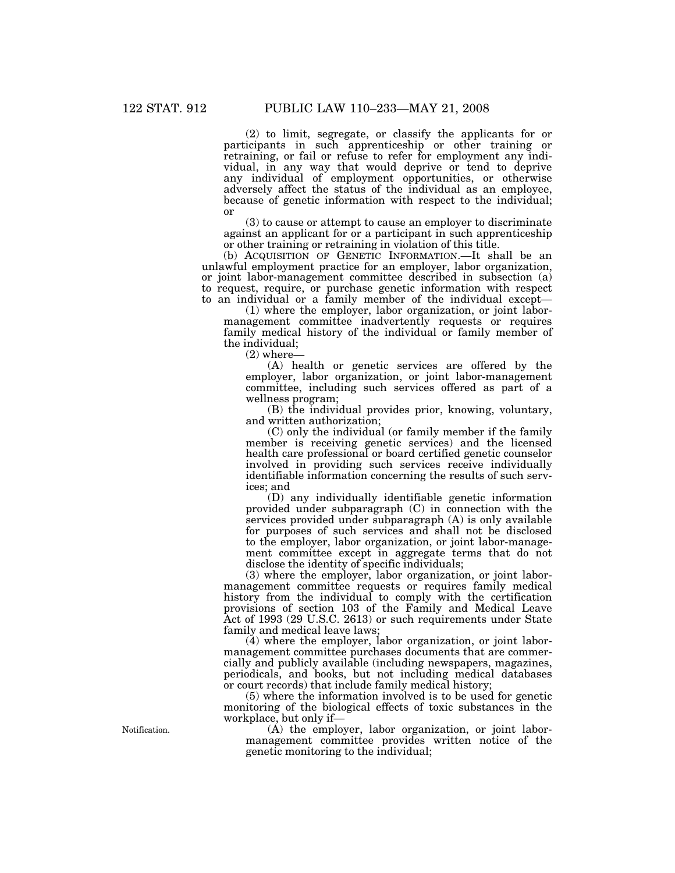(2) to limit, segregate, or classify the applicants for or participants in such apprenticeship or other training or retraining, or fail or refuse to refer for employment any individual, in any way that would deprive or tend to deprive any individual of employment opportunities, or otherwise adversely affect the status of the individual as an employee, because of genetic information with respect to the individual; or

(3) to cause or attempt to cause an employer to discriminate against an applicant for or a participant in such apprenticeship or other training or retraining in violation of this title.

(b) ACQUISITION OF GENETIC INFORMATION.—It shall be an unlawful employment practice for an employer, labor organization, or joint labor-management committee described in subsection (a) to request, require, or purchase genetic information with respect to an individual or a family member of the individual except—

(1) where the employer, labor organization, or joint labormanagement committee inadvertently requests or requires family medical history of the individual or family member of the individual;

 $(2)$  where-

(A) health or genetic services are offered by the employer, labor organization, or joint labor-management committee, including such services offered as part of a wellness program;

(B) the individual provides prior, knowing, voluntary, and written authorization;

(C) only the individual (or family member if the family member is receiving genetic services) and the licensed health care professional or board certified genetic counselor involved in providing such services receive individually identifiable information concerning the results of such services; and

(D) any individually identifiable genetic information provided under subparagraph (C) in connection with the services provided under subparagraph (A) is only available for purposes of such services and shall not be disclosed to the employer, labor organization, or joint labor-management committee except in aggregate terms that do not disclose the identity of specific individuals;

(3) where the employer, labor organization, or joint labormanagement committee requests or requires family medical history from the individual to comply with the certification provisions of section 103 of the Family and Medical Leave Act of 1993 (29 U.S.C. 2613) or such requirements under State family and medical leave laws;

(4) where the employer, labor organization, or joint labormanagement committee purchases documents that are commercially and publicly available (including newspapers, magazines, periodicals, and books, but not including medical databases or court records) that include family medical history;

(5) where the information involved is to be used for genetic monitoring of the biological effects of toxic substances in the workplace, but only if—

(A) the employer, labor organization, or joint labormanagement committee provides written notice of the genetic monitoring to the individual;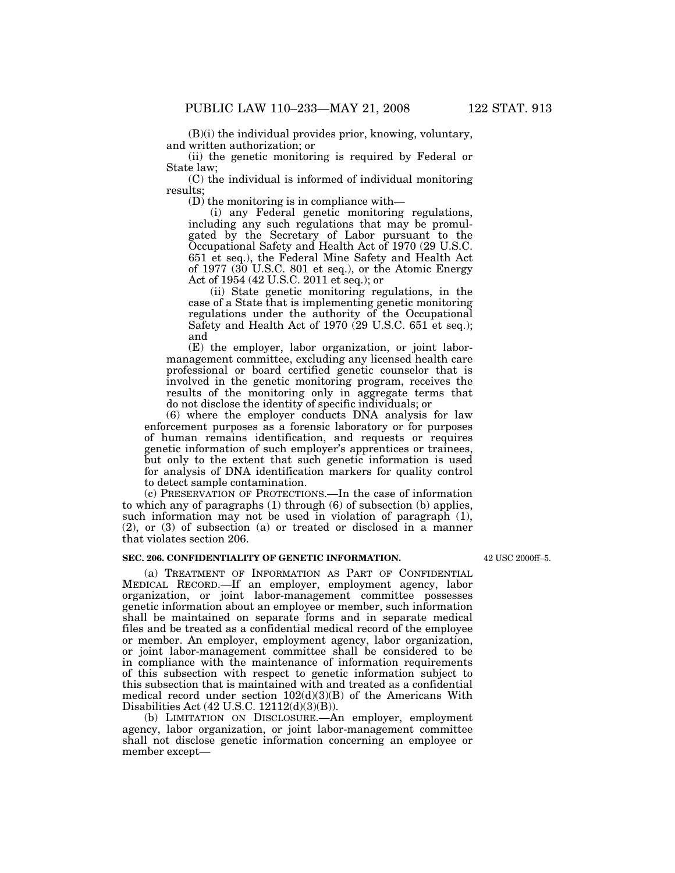$(B)(i)$  the individual provides prior, knowing, voluntary, and written authorization; or

(ii) the genetic monitoring is required by Federal or State law;

(C) the individual is informed of individual monitoring results;

(D) the monitoring is in compliance with—

(i) any Federal genetic monitoring regulations, including any such regulations that may be promulgated by the Secretary of Labor pursuant to the Occupational Safety and Health Act of 1970 (29 U.S.C. 651 et seq.), the Federal Mine Safety and Health Act of 1977 (30 U.S.C. 801 et seq.), or the Atomic Energy Act of 1954 (42 U.S.C. 2011 et seq.); or

(ii) State genetic monitoring regulations, in the case of a State that is implementing genetic monitoring regulations under the authority of the Occupational Safety and Health Act of 1970 (29 U.S.C. 651 et seq.); and

(E) the employer, labor organization, or joint labormanagement committee, excluding any licensed health care professional or board certified genetic counselor that is involved in the genetic monitoring program, receives the results of the monitoring only in aggregate terms that do not disclose the identity of specific individuals; or

(6) where the employer conducts DNA analysis for law enforcement purposes as a forensic laboratory or for purposes of human remains identification, and requests or requires genetic information of such employer's apprentices or trainees, but only to the extent that such genetic information is used for analysis of DNA identification markers for quality control to detect sample contamination.

(c) PRESERVATION OF PROTECTIONS.—In the case of information to which any of paragraphs (1) through (6) of subsection (b) applies, such information may not be used in violation of paragraph  $(1)$ , (2), or (3) of subsection (a) or treated or disclosed in a manner that violates section 206.

# **SEC. 206. CONFIDENTIALITY OF GENETIC INFORMATION.**

(a) TREATMENT OF INFORMATION AS PART OF CONFIDENTIAL MEDICAL RECORD.—If an employer, employment agency, labor organization, or joint labor-management committee possesses genetic information about an employee or member, such information shall be maintained on separate forms and in separate medical files and be treated as a confidential medical record of the employee or member. An employer, employment agency, labor organization, or joint labor-management committee shall be considered to be in compliance with the maintenance of information requirements of this subsection with respect to genetic information subject to this subsection that is maintained with and treated as a confidential medical record under section  $102(d)(3)(B)$  of the Americans With Disabilities Act (42 U.S.C. 12112(d)(3)(B)).

(b) LIMITATION ON DISCLOSURE.—An employer, employment agency, labor organization, or joint labor-management committee shall not disclose genetic information concerning an employee or member except—

42 USC 2000ff–5.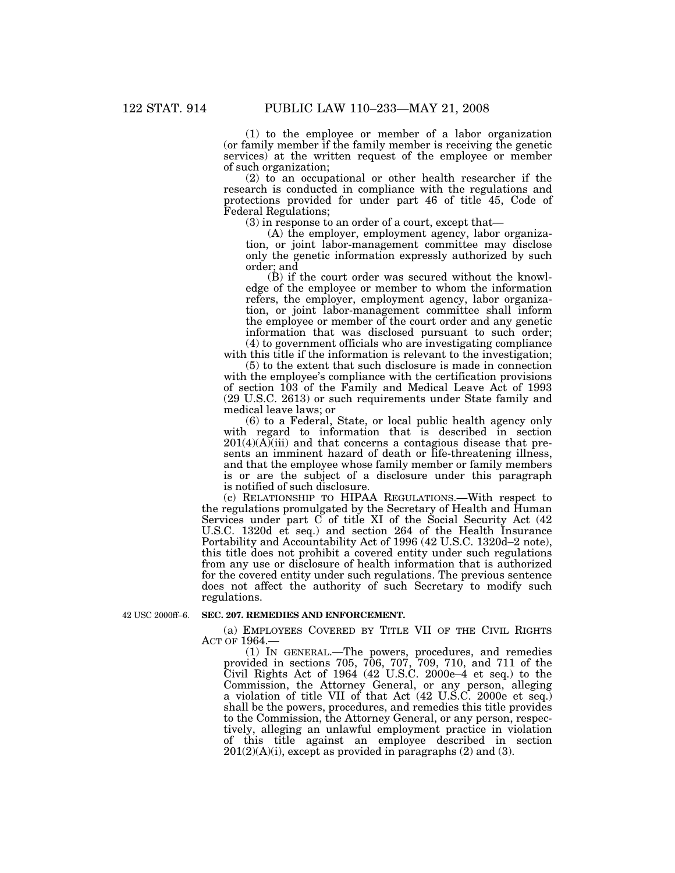(1) to the employee or member of a labor organization (or family member if the family member is receiving the genetic services) at the written request of the employee or member of such organization;

(2) to an occupational or other health researcher if the research is conducted in compliance with the regulations and protections provided for under part 46 of title 45, Code of Federal Regulations;

(3) in response to an order of a court, except that—

(A) the employer, employment agency, labor organization, or joint labor-management committee may disclose only the genetic information expressly authorized by such order; and

(B) if the court order was secured without the knowledge of the employee or member to whom the information refers, the employer, employment agency, labor organization, or joint labor-management committee shall inform the employee or member of the court order and any genetic information that was disclosed pursuant to such order; (4) to government officials who are investigating compliance

with this title if the information is relevant to the investigation;

(5) to the extent that such disclosure is made in connection with the employee's compliance with the certification provisions of section 103 of the Family and Medical Leave Act of 1993 (29 U.S.C. 2613) or such requirements under State family and medical leave laws; or

(6) to a Federal, State, or local public health agency only with regard to information that is described in section  $201(4)(A)$ (iii) and that concerns a contagious disease that presents an imminent hazard of death or life-threatening illness, and that the employee whose family member or family members is or are the subject of a disclosure under this paragraph is notified of such disclosure.

(c) RELATIONSHIP TO HIPAA REGULATIONS.—With respect to the regulations promulgated by the Secretary of Health and Human Services under part  $\overline{C}$  of title XI of the Social Security Act  $(42)$ U.S.C. 1320d et seq.) and section 264 of the Health Insurance Portability and Accountability Act of 1996 (42 U.S.C. 1320d–2 note), this title does not prohibit a covered entity under such regulations from any use or disclosure of health information that is authorized for the covered entity under such regulations. The previous sentence does not affect the authority of such Secretary to modify such regulations.

42 USC 2000ff–6.

#### **SEC. 207. REMEDIES AND ENFORCEMENT.**

(a) EMPLOYEES COVERED BY TITLE VII OF THE CIVIL RIGHTS ACT OF 1964.—

(1) IN GENERAL.—The powers, procedures, and remedies provided in sections 705, 706, 707, 709, 710, and 711 of the Civil Rights Act of 1964 (42 U.S.C. 2000e–4 et seq.) to the Commission, the Attorney General, or any person, alleging a violation of title VII of that Act (42 U.S.C. 2000e et seq.) shall be the powers, procedures, and remedies this title provides to the Commission, the Attorney General, or any person, respectively, alleging an unlawful employment practice in violation of this title against an employee described in section  $201(2)(A)(i)$ , except as provided in paragraphs  $(2)$  and  $(3)$ .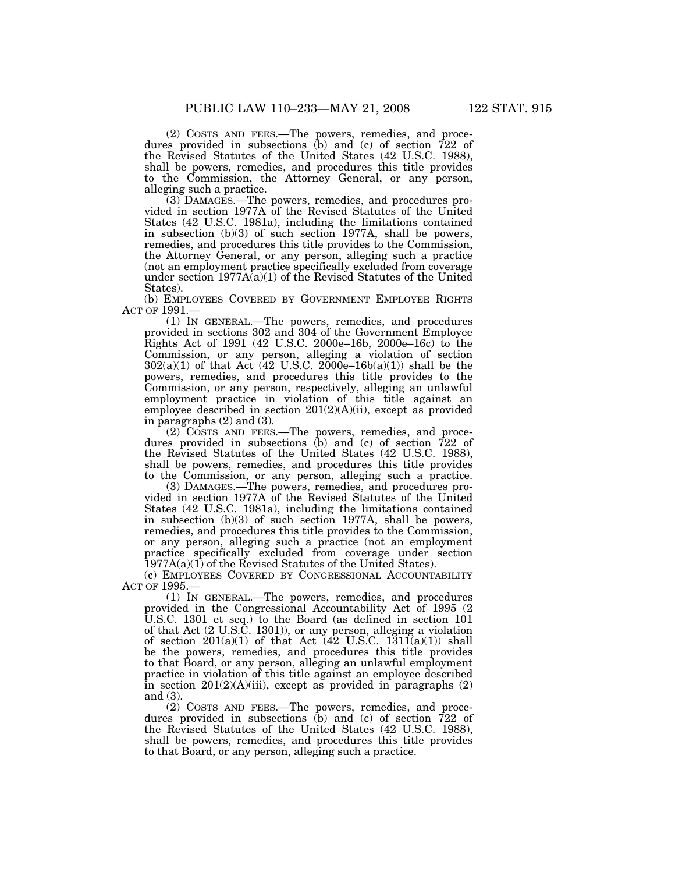(2) COSTS AND FEES.—The powers, remedies, and procedures provided in subsections (b) and (c) of section 722 of the Revised Statutes of the United States (42 U.S.C. 1988), shall be powers, remedies, and procedures this title provides to the Commission, the Attorney General, or any person, alleging such a practice.

(3) DAMAGES.—The powers, remedies, and procedures provided in section 1977A of the Revised Statutes of the United States (42 U.S.C. 1981a), including the limitations contained in subsection (b)(3) of such section 1977A, shall be powers, remedies, and procedures this title provides to the Commission, the Attorney General, or any person, alleging such a practice (not an employment practice specifically excluded from coverage under section 1977A(a)(1) of the Revised Statutes of the United States).

(b) EMPLOYEES COVERED BY GOVERNMENT EMPLOYEE RIGHTS ACT OF 1991.—

(1) IN GENERAL.—The powers, remedies, and procedures provided in sections 302 and 304 of the Government Employee Rights Act of 1991 (42 U.S.C. 2000e–16b, 2000e–16c) to the Commission, or any person, alleging a violation of section  $302(a)(1)$  of that Act (42 U.S.C.  $2000e-16b(a)(1)$ ) shall be the powers, remedies, and procedures this title provides to the Commission, or any person, respectively, alleging an unlawful employment practice in violation of this title against an employee described in section  $201(2)(A)(ii)$ , except as provided in paragraphs (2) and (3).

(2) COSTS AND FEES.—The powers, remedies, and procedures provided in subsections (b) and (c) of section 722 of the Revised Statutes of the United States (42 U.S.C. 1988), shall be powers, remedies, and procedures this title provides to the Commission, or any person, alleging such a practice.

(3) DAMAGES.—The powers, remedies, and procedures provided in section 1977A of the Revised Statutes of the United States (42 U.S.C. 1981a), including the limitations contained in subsection (b)(3) of such section 1977A, shall be powers, remedies, and procedures this title provides to the Commission, or any person, alleging such a practice (not an employment practice specifically excluded from coverage under section 1977A(a)(1) of the Revised Statutes of the United States).

(c) EMPLOYEES COVERED BY CONGRESSIONAL ACCOUNTABILITY ACT OF 1995.—

(1) IN GENERAL.—The powers, remedies, and procedures provided in the Congressional Accountability Act of 1995 (2 U.S.C. 1301 et seq.) to the Board (as defined in section 101 of that Act (2 U.S.C. 1301)), or any person, alleging a violation of section  $201(a)(1)$  of that Act  $(42 \text{ U.S.C. } 1311(a)(1))$  shall be the powers, remedies, and procedures this title provides to that Board, or any person, alleging an unlawful employment practice in violation of this title against an employee described in section 201(2)(A)(iii), except as provided in paragraphs (2) and (3).

(2) COSTS AND FEES.—The powers, remedies, and procedures provided in subsections (b) and (c) of section 722 of the Revised Statutes of the United States (42 U.S.C. 1988), shall be powers, remedies, and procedures this title provides to that Board, or any person, alleging such a practice.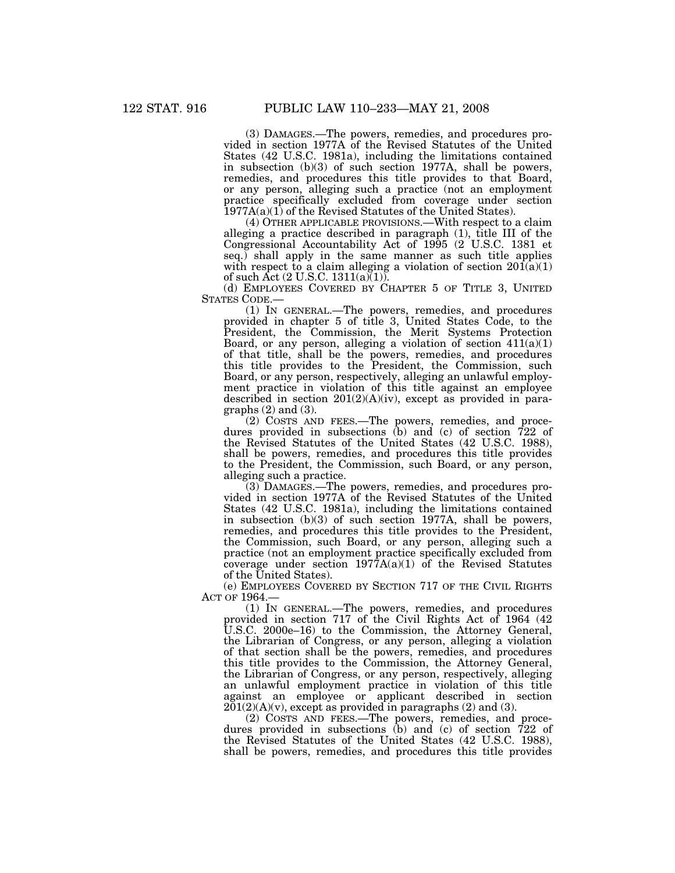(3) DAMAGES.—The powers, remedies, and procedures provided in section 1977A of the Revised Statutes of the United States (42 U.S.C. 1981a), including the limitations contained in subsection (b)(3) of such section 1977A, shall be powers, remedies, and procedures this title provides to that Board, or any person, alleging such a practice (not an employment practice specifically excluded from coverage under section 1977A(a)(1) of the Revised Statutes of the United States).

(4) OTHER APPLICABLE PROVISIONS.—With respect to a claim alleging a practice described in paragraph (1), title III of the Congressional Accountability Act of 1995 (2 U.S.C. 1381 et seq.) shall apply in the same manner as such title applies with respect to a claim alleging a violation of section  $20I(a)(1)$ of such Act (2 U.S.C. 1311(a)(1)).

(d) EMPLOYEES COVERED BY CHAPTER 5 OF TITLE 3, UNITED STATES CODE.—

(1) IN GENERAL.—The powers, remedies, and procedures provided in chapter 5 of title 3, United States Code, to the President, the Commission, the Merit Systems Protection Board, or any person, alleging a violation of section 411(a)(1) of that title, shall be the powers, remedies, and procedures this title provides to the President, the Commission, such Board, or any person, respectively, alleging an unlawful employment practice in violation of this title against an employee described in section 201(2)(A)(iv), except as provided in paragraphs  $(2)$  and  $(3)$ .

(2) COSTS AND FEES.—The powers, remedies, and procedures provided in subsections (b) and (c) of section 722 of the Revised Statutes of the United States (42 U.S.C. 1988), shall be powers, remedies, and procedures this title provides to the President, the Commission, such Board, or any person, alleging such a practice.

(3) DAMAGES.—The powers, remedies, and procedures provided in section 1977A of the Revised Statutes of the United States (42 U.S.C. 1981a), including the limitations contained in subsection (b)(3) of such section 1977A, shall be powers, remedies, and procedures this title provides to the President, the Commission, such Board, or any person, alleging such a practice (not an employment practice specifically excluded from coverage under section  $1977A(a)(1)$  of the Revised Statutes of the United States).

(e) EMPLOYEES COVERED BY SECTION 717 OF THE CIVIL RIGHTS ACT OF 1964.—

(1) IN GENERAL.—The powers, remedies, and procedures provided in section 717 of the Civil Rights Act of 1964 (42 U.S.C. 2000e–16) to the Commission, the Attorney General, the Librarian of Congress, or any person, alleging a violation of that section shall be the powers, remedies, and procedures this title provides to the Commission, the Attorney General, the Librarian of Congress, or any person, respectively, alleging an unlawful employment practice in violation of this title against an employee or applicant described in section  $201(2)(A)(v)$ , except as provided in paragraphs (2) and (3).

(2) COSTS AND FEES.—The powers, remedies, and procedures provided in subsections (b) and (c) of section 722 of the Revised Statutes of the United States (42 U.S.C. 1988), shall be powers, remedies, and procedures this title provides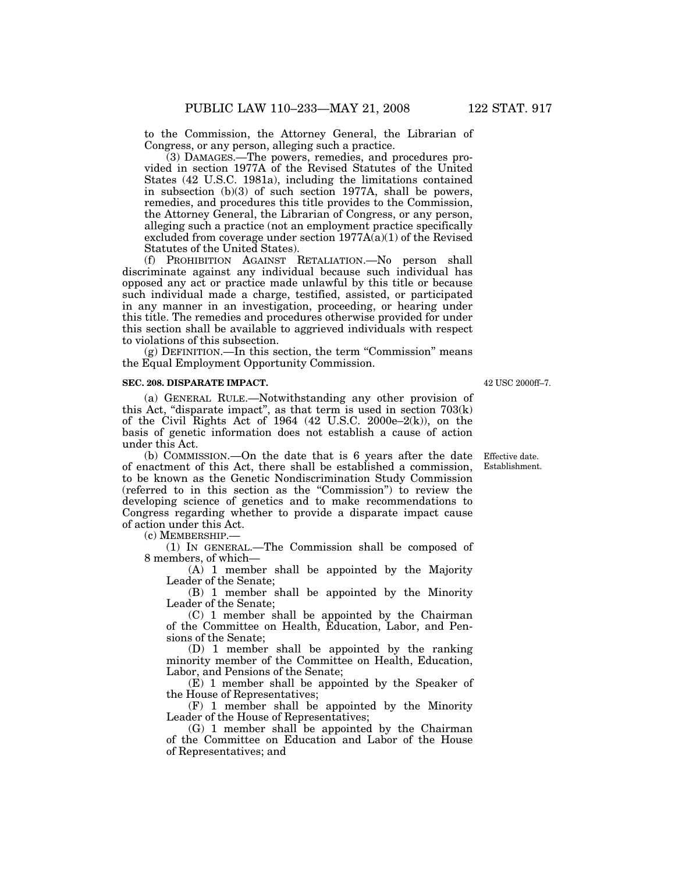to the Commission, the Attorney General, the Librarian of Congress, or any person, alleging such a practice.

(3) DAMAGES.—The powers, remedies, and procedures provided in section 1977A of the Revised Statutes of the United States (42 U.S.C. 1981a), including the limitations contained in subsection (b)(3) of such section 1977A, shall be powers, remedies, and procedures this title provides to the Commission, the Attorney General, the Librarian of Congress, or any person, alleging such a practice (not an employment practice specifically excluded from coverage under section  $1977A(a)(1)$  of the Revised Statutes of the United States).

(f) PROHIBITION AGAINST RETALIATION.—No person shall discriminate against any individual because such individual has opposed any act or practice made unlawful by this title or because such individual made a charge, testified, assisted, or participated in any manner in an investigation, proceeding, or hearing under this title. The remedies and procedures otherwise provided for under this section shall be available to aggrieved individuals with respect to violations of this subsection.

(g) DEFINITION.—In this section, the term ''Commission'' means the Equal Employment Opportunity Commission.

### **SEC. 208. DISPARATE IMPACT.**

(a) GENERAL RULE.—Notwithstanding any other provision of this Act, "disparate impact", as that term is used in section  $703(k)$ of the Civil Rights Act of 1964  $(42 \text{ U.S.C. } 2000e-2(k))$ , on the basis of genetic information does not establish a cause of action under this Act.

(b) COMMISSION.—On the date that is 6 years after the date of enactment of this Act, there shall be established a commission, to be known as the Genetic Nondiscrimination Study Commission (referred to in this section as the ''Commission'') to review the developing science of genetics and to make recommendations to Congress regarding whether to provide a disparate impact cause of action under this Act.

(c) MEMBERSHIP.—

(1) IN GENERAL.—The Commission shall be composed of 8 members, of which—

(A) 1 member shall be appointed by the Majority Leader of the Senate;

(B) 1 member shall be appointed by the Minority Leader of the Senate;

(C) 1 member shall be appointed by the Chairman of the Committee on Health, Education, Labor, and Pensions of the Senate;

(D) 1 member shall be appointed by the ranking minority member of the Committee on Health, Education, Labor, and Pensions of the Senate;

(E) 1 member shall be appointed by the Speaker of the House of Representatives;

(F) 1 member shall be appointed by the Minority Leader of the House of Representatives;

(G) 1 member shall be appointed by the Chairman of the Committee on Education and Labor of the House of Representatives; and

42 USC 2000ff–7.

Effective date. Establishment.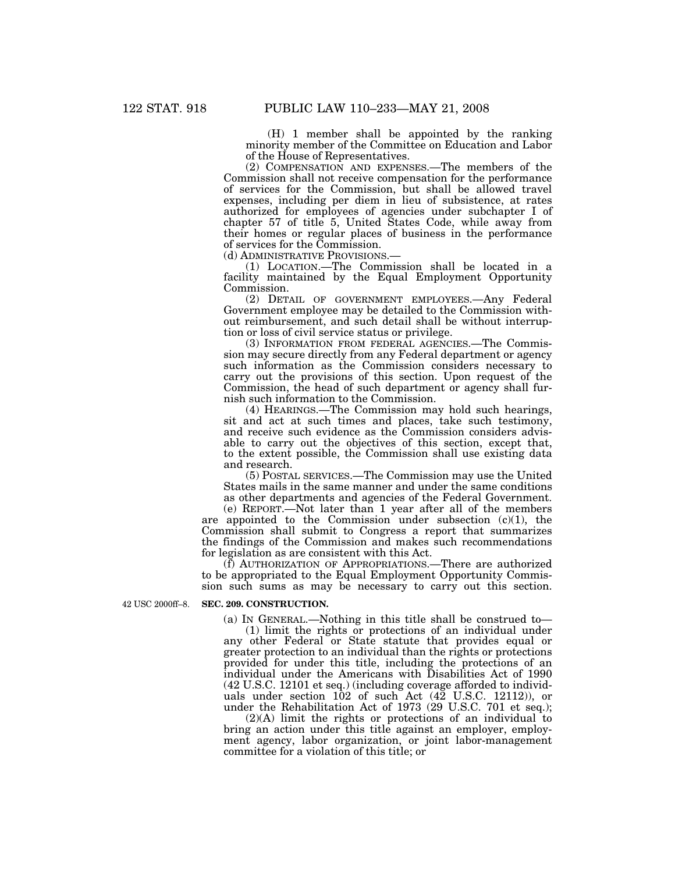(H) 1 member shall be appointed by the ranking minority member of the Committee on Education and Labor of the House of Representatives.

(2) COMPENSATION AND EXPENSES.—The members of the Commission shall not receive compensation for the performance of services for the Commission, but shall be allowed travel expenses, including per diem in lieu of subsistence, at rates authorized for employees of agencies under subchapter I of chapter 57 of title 5, United States Code, while away from their homes or regular places of business in the performance of services for the Commission.<br>(d) ADMINISTRATIVE PROVISIONS.

(1) LOCATION.—The Commission shall be located in a facility maintained by the Equal Employment Opportunity Commission.

(2) DETAIL OF GOVERNMENT EMPLOYEES.—Any Federal Government employee may be detailed to the Commission without reimbursement, and such detail shall be without interruption or loss of civil service status or privilege.

(3) INFORMATION FROM FEDERAL AGENCIES.—The Commission may secure directly from any Federal department or agency such information as the Commission considers necessary to carry out the provisions of this section. Upon request of the Commission, the head of such department or agency shall furnish such information to the Commission.

(4) HEARINGS.—The Commission may hold such hearings, sit and act at such times and places, take such testimony, and receive such evidence as the Commission considers advisable to carry out the objectives of this section, except that, to the extent possible, the Commission shall use existing data and research.

(5) POSTAL SERVICES.—The Commission may use the United States mails in the same manner and under the same conditions as other departments and agencies of the Federal Government.

(e) REPORT.—Not later than 1 year after all of the members are appointed to the Commission under subsection  $(c)(1)$ , the Commission shall submit to Congress a report that summarizes the findings of the Commission and makes such recommendations for legislation as are consistent with this Act.

(f) AUTHORIZATION OF APPROPRIATIONS.—There are authorized to be appropriated to the Equal Employment Opportunity Commission such sums as may be necessary to carry out this section.

#### **SEC. 209. CONSTRUCTION.**  42 USC 2000ff–8.

(a) IN GENERAL.—Nothing in this title shall be construed to—

(1) limit the rights or protections of an individual under any other Federal or State statute that provides equal or greater protection to an individual than the rights or protections provided for under this title, including the protections of an individual under the Americans with Disabilities Act of 1990 (42 U.S.C. 12101 et seq.) (including coverage afforded to individuals under section 102 of such Act (42 U.S.C. 12112)), or under the Rehabilitation Act of 1973 (29 U.S.C. 701 et seq.);

(2)(A) limit the rights or protections of an individual to bring an action under this title against an employer, employment agency, labor organization, or joint labor-management committee for a violation of this title; or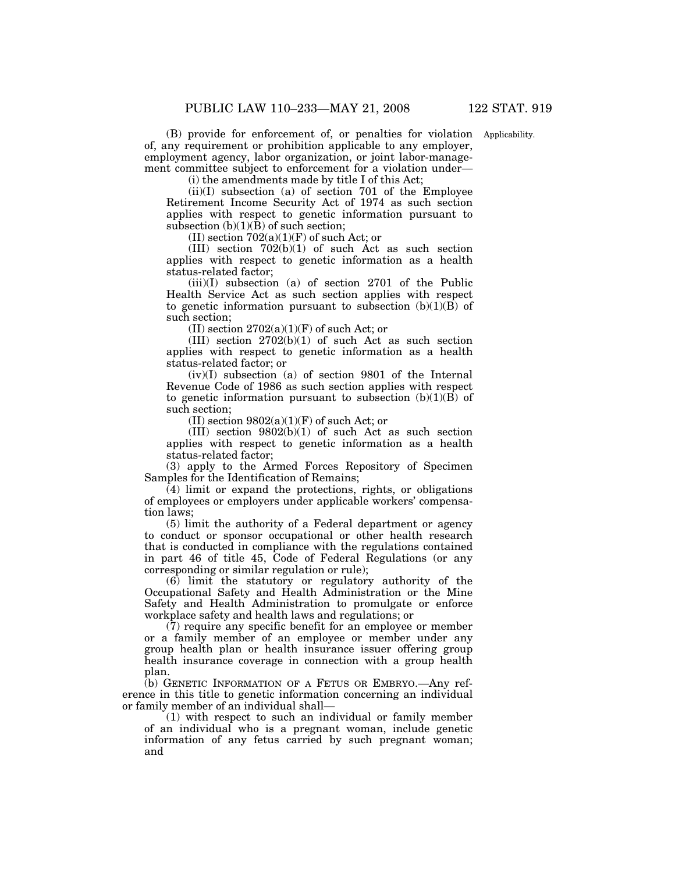(B) provide for enforcement of, or penalties for violation Applicability. of, any requirement or prohibition applicable to any employer, employment agency, labor organization, or joint labor-management committee subject to enforcement for a violation under—

(i) the amendments made by title I of this Act;

(ii)(I) subsection (a) of section 701 of the Employee Retirement Income Security Act of 1974 as such section applies with respect to genetic information pursuant to subsection  $(b)(1)(\bar{B})$  of such section;

(II) section  $702(a)(1)(F)$  of such Act; or

(III) section  $702(b)(1)$  of such Act as such section applies with respect to genetic information as a health status-related factor;

(iii)(I) subsection (a) of section 2701 of the Public Health Service Act as such section applies with respect to genetic information pursuant to subsection  $(b)(1)(B)$  of such section;

(II) section  $2702(a)(1)(F)$  of such Act; or

 $(III)$  section  $2702(b)(1)$  of such Act as such section applies with respect to genetic information as a health status-related factor; or

 $(iv)(I)$  subsection (a) of section 9801 of the Internal Revenue Code of 1986 as such section applies with respect to genetic information pursuant to subsection  $(b)(1)(B)$  of such section;

(II) section  $9802(a)(1)(F)$  of such Act; or

(III) section 9802(b)(1) of such Act as such section applies with respect to genetic information as a health status-related factor;

(3) apply to the Armed Forces Repository of Specimen Samples for the Identification of Remains;

 $(4)$  limit or expand the protections, rights, or obligations of employees or employers under applicable workers' compensation laws;

(5) limit the authority of a Federal department or agency to conduct or sponsor occupational or other health research that is conducted in compliance with the regulations contained in part 46 of title 45, Code of Federal Regulations (or any corresponding or similar regulation or rule);

(6) limit the statutory or regulatory authority of the Occupational Safety and Health Administration or the Mine Safety and Health Administration to promulgate or enforce workplace safety and health laws and regulations; or

(7) require any specific benefit for an employee or member or a family member of an employee or member under any group health plan or health insurance issuer offering group health insurance coverage in connection with a group health plan.

(b) GENETIC INFORMATION OF A FETUS OR EMBRYO.—Any reference in this title to genetic information concerning an individual or family member of an individual shall—

(1) with respect to such an individual or family member of an individual who is a pregnant woman, include genetic information of any fetus carried by such pregnant woman; and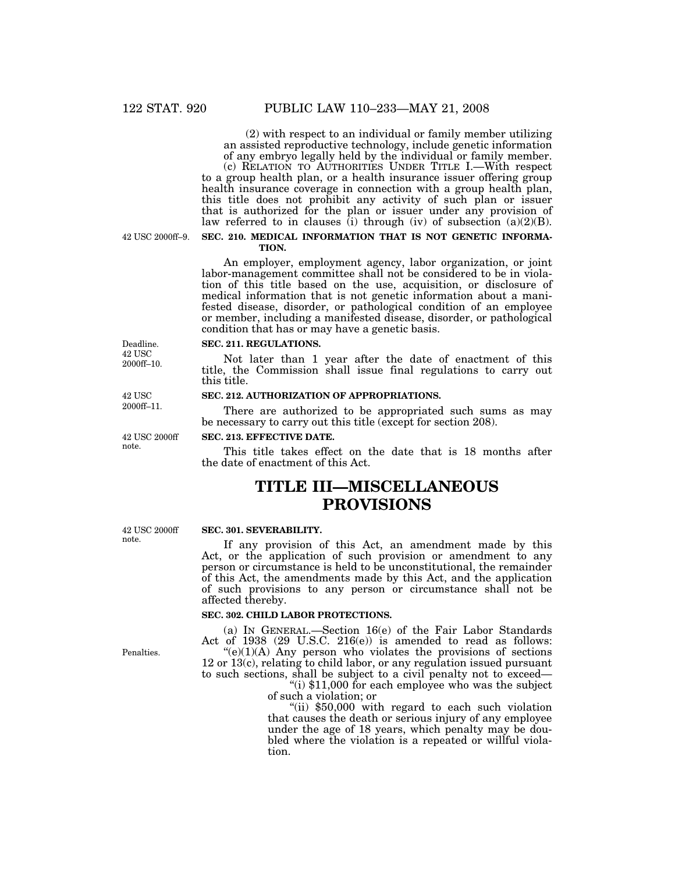(2) with respect to an individual or family member utilizing an assisted reproductive technology, include genetic information of any embryo legally held by the individual or family member.

(c) RELATION TO AUTHORITIES UNDER TITLE I.—With respect to a group health plan, or a health insurance issuer offering group health insurance coverage in connection with a group health plan, this title does not prohibit any activity of such plan or issuer that is authorized for the plan or issuer under any provision of law referred to in clauses (i) through (iv) of subsection  $(a)(2)(B)$ .

42 USC 2000ff–9.

# **SEC. 210. MEDICAL INFORMATION THAT IS NOT GENETIC INFORMA-TION.**

An employer, employment agency, labor organization, or joint labor-management committee shall not be considered to be in violation of this title based on the use, acquisition, or disclosure of medical information that is not genetic information about a manifested disease, disorder, or pathological condition of an employee or member, including a manifested disease, disorder, or pathological condition that has or may have a genetic basis.

## **SEC. 211. REGULATIONS.**

Not later than 1 year after the date of enactment of this title, the Commission shall issue final regulations to carry out this title.

# **SEC. 212. AUTHORIZATION OF APPROPRIATIONS.**

There are authorized to be appropriated such sums as may be necessary to carry out this title (except for section 208).

#### **SEC. 213. EFFECTIVE DATE.**

This title takes effect on the date that is 18 months after the date of enactment of this Act.

# **TITLE III—MISCELLANEOUS PROVISIONS**

#### **SEC. 301. SEVERABILITY.**

If any provision of this Act, an amendment made by this Act, or the application of such provision or amendment to any person or circumstance is held to be unconstitutional, the remainder of this Act, the amendments made by this Act, and the application of such provisions to any person or circumstance shall not be affected thereby.

### **SEC. 302. CHILD LABOR PROTECTIONS.**

(a) IN GENERAL.—Section 16(e) of the Fair Labor Standards Act of 1938 (29 U.S.C. 216(e)) is amended to read as follows:  $(e)(1)(A)$  Any person who violates the provisions of sections

12 or 13(c), relating to child labor, or any regulation issued pursuant to such sections, shall be subject to a civil penalty not to exceed— ''(i) \$11,000 for each employee who was the subject

of such a violation; or

"(ii) \$50,000 with regard to each such violation that causes the death or serious injury of any employee under the age of 18 years, which penalty may be doubled where the violation is a repeated or willful violation.

42 USC 2000ff note.

Penalties.

42 USC 2000ff–11.

Deadline. 42 USC 2000ff–10.

42 USC 2000ff note.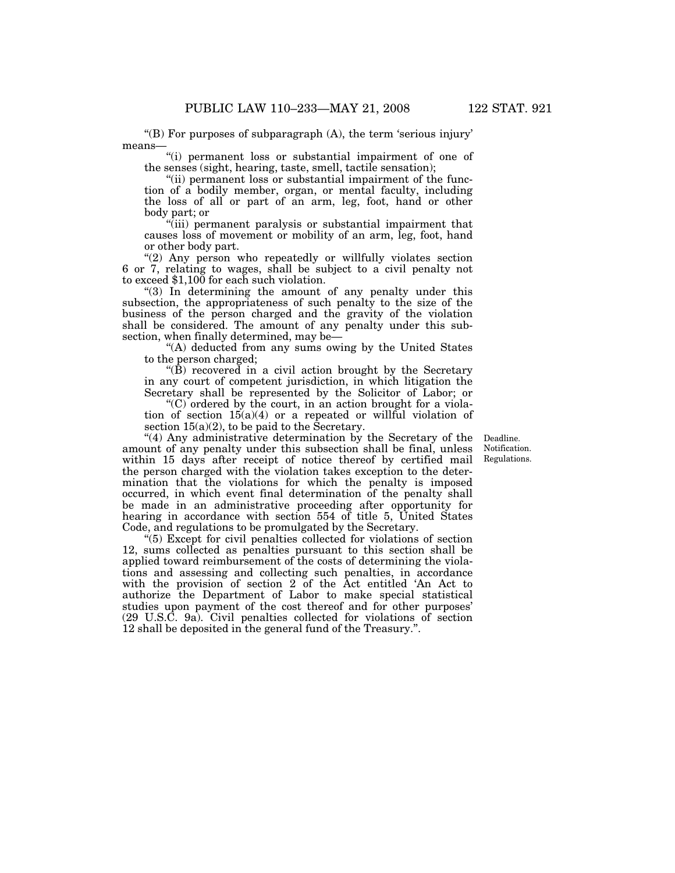"(B) For purposes of subparagraph  $(A)$ , the term 'serious injury' means—

''(i) permanent loss or substantial impairment of one of the senses (sight, hearing, taste, smell, tactile sensation);

"(ii) permanent loss or substantial impairment of the function of a bodily member, organ, or mental faculty, including the loss of all or part of an arm, leg, foot, hand or other body part; or

''(iii) permanent paralysis or substantial impairment that causes loss of movement or mobility of an arm, leg, foot, hand or other body part.

"(2) Any person who repeatedly or willfully violates section 6 or 7, relating to wages, shall be subject to a civil penalty not to exceed \$1,100 for each such violation.

"(3) In determining the amount of any penalty under this subsection, the appropriateness of such penalty to the size of the business of the person charged and the gravity of the violation shall be considered. The amount of any penalty under this subsection, when finally determined, may be-

"(A) deducted from any sums owing by the United States to the person charged;

" $(\hat{B})$  recovered in a civil action brought by the Secretary in any court of competent jurisdiction, in which litigation the Secretary shall be represented by the Solicitor of Labor; or

 $(C)$  ordered by the court, in an action brought for a violation of section  $15(a)(4)$  or a repeated or willful violation of section  $15(a)(2)$ , to be paid to the Secretary.

''(4) Any administrative determination by the Secretary of the amount of any penalty under this subsection shall be final, unless within 15 days after receipt of notice thereof by certified mail the person charged with the violation takes exception to the determination that the violations for which the penalty is imposed occurred, in which event final determination of the penalty shall be made in an administrative proceeding after opportunity for hearing in accordance with section 554 of title 5, United States Code, and regulations to be promulgated by the Secretary.

''(5) Except for civil penalties collected for violations of section 12, sums collected as penalties pursuant to this section shall be applied toward reimbursement of the costs of determining the violations and assessing and collecting such penalties, in accordance with the provision of section 2 of the Act entitled 'An Act to authorize the Department of Labor to make special statistical studies upon payment of the cost thereof and for other purposes' (29 U.S.C. 9a). Civil penalties collected for violations of section 12 shall be deposited in the general fund of the Treasury.''.

Deadline. Notification. Regulations.